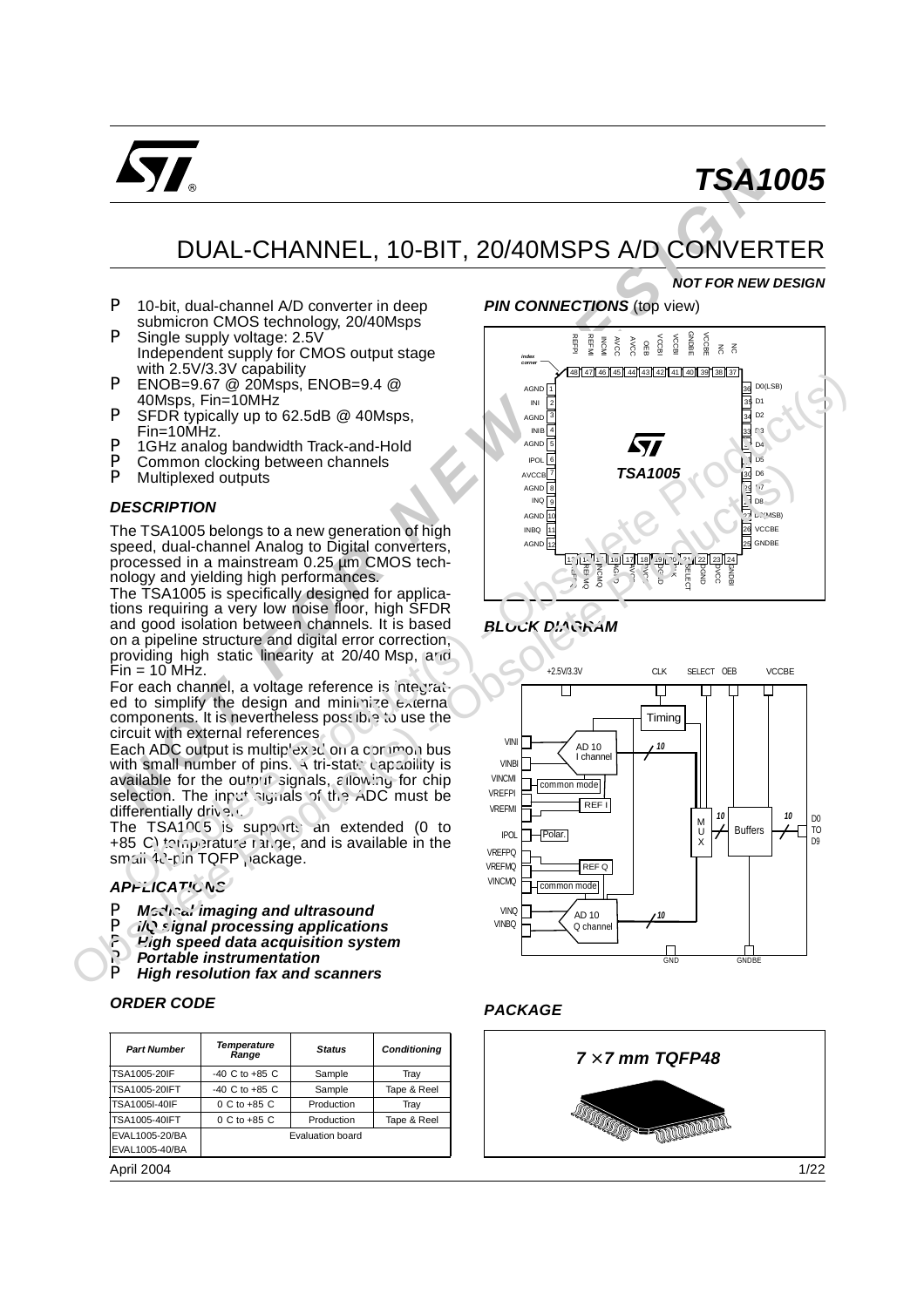

# *TSA1005*

*NOT FOR NEW DESIGN*

## DUAL-CHANNEL, 10-BIT, 20/40MSPS A/D CONVERTER

- $\blacktriangleright$  10-bit, dual-channel A/D converter in deep submicron CMOS technology, 20/40Msps
- $\blacktriangleright$  Single supply voltage: 2.5V Independent supply for CMOS output stage with 2.5V/3.3V capability
- $\triangleright$  ENOB=9.67 @ 20Msps, ENOB=9.4 @ 40Msps, Fin=10MHz
- $\triangleright$  SFDR typically up to 62.5dB  $\oslash$  40Msps, Fin=10MHz.
- ▶ 1GHz analog bandwidth Track-and-Hold
- $\triangleright$  Common clocking between channels<br> $\triangleright$  Multiplexed outputs
- Multiplexed outputs

#### *DESCRIPTION*

The TSA1005 belongs to a new generation of high speed, dual-channel Analog to Digital converters, processed in a mainstream 0.25 µm CMOS technology and yielding high performances.

The TSA1005 is specifically designed for applications requiring a very low noise floor, high SFDR and good isolation between channels. It is based on a pipeline structure and digital error correction, providing high static linearity at 20/40 Msp, and  $Fin = 10$  MHz.

For each channel, a voltage reference is integrated to simplify the design and minimize  $\epsilon$ xiernal components. It is nevertheless possible to use the circuit with external references.

Each ADC output is multiplex  $BC$  on a common bus with small number of pins.  $\overline{A}$  tri-state capability is available for the output signals, allowing for chip selection. The input signals of the ADC must be differentially driven.

The TSA1005 is supports an extended (0 to +85 C) temperature range, and is available in the small 43-pin TQFP package.

#### *APPLICATIONS*

- **Mcdical imaging and ultrasound**
- P *I/Q signal processing applications*
- P *High speed data acquisition system*
- **Portable instrumentation**
- P *High resolution fax and scanners*

#### *ORDER CODE*

| <b>Part Number</b>   | Temperature<br>Range | <b>Status</b>           | Conditioning |
|----------------------|----------------------|-------------------------|--------------|
| <b>TSA1005-20IF</b>  | $-40$ C to $+85$ C   | Sample                  | Tray         |
| <b>TSA1005-20IFT</b> | $-40$ C to $+85$ C   | Sample                  | Tape & Reel  |
| <b>TSA1005I-40IF</b> | 0 C to +85 C         | Production              | Tray         |
| <b>TSA1005-40IFT</b> | 0 C to +85 C         | Production              | Tape & Reel  |
| EVAL1005-20/BA       |                      | <b>Evaluation board</b> |              |
| EVAL1005-40/BA       |                      |                         |              |
| .                    |                      |                         |              |

April 2004

## **PIN CONNECTIONS** (top view)



## **BLOCK DIAGRAM**



## *PACKAGE*

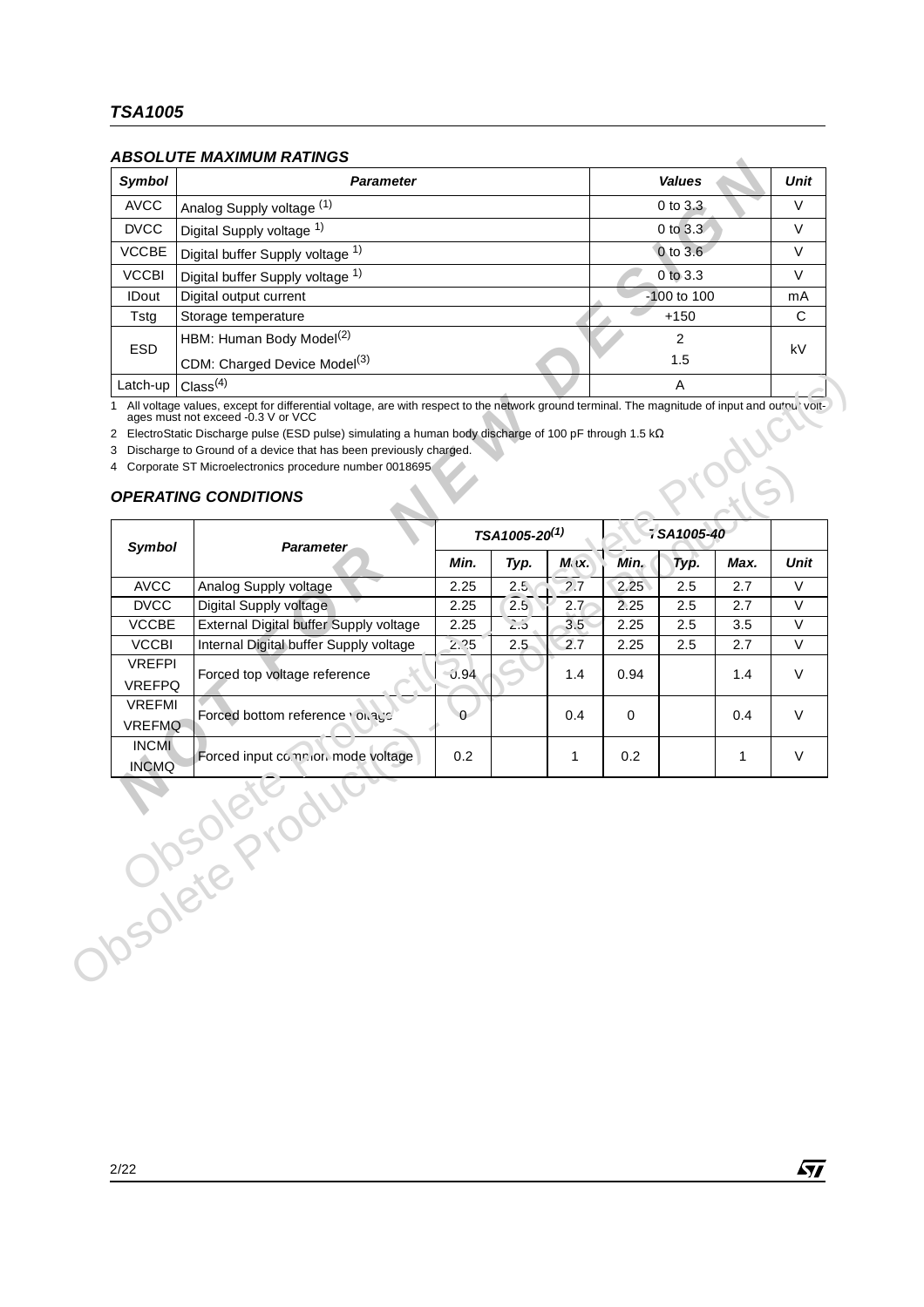## *ABSOLUTE MAXIMUM RATINGS*

| Symbol       | <b>Parameter</b>                         | <b>Values</b>   | Unit |
|--------------|------------------------------------------|-----------------|------|
| <b>AVCC</b>  | Analog Supply voltage (1)                | $0$ to $3.3$    | V    |
| <b>DVCC</b>  | Digital Supply voltage 1)                | $0$ to $3.3$    | V    |
| <b>VCCBE</b> | Digital buffer Supply voltage 1)         | $0$ to $3.6$    | V    |
| <b>VCCBI</b> | Digital buffer Supply voltage 1)         | $0$ to $3.3$    | V    |
| <b>IDout</b> | Digital output current                   | $-100$ to $100$ | mA   |
| Tstg         | Storage temperature                      | $+150$          | C    |
| <b>ESD</b>   | HBM: Human Body Model <sup>(2)</sup>     | 2               | kV   |
|              | CDM: Charged Device Model <sup>(3)</sup> | 1.5             |      |
| Latch-up     | Class <sup>(4)</sup>                     | Α               |      |

## *OPERATING CONDITIONS*

| Symbol                         | <b>Parameter</b>                                                                                                                                                                                                                                                     |          |                           |        |                 | <b>Values</b>  |      | Unit   |  |
|--------------------------------|----------------------------------------------------------------------------------------------------------------------------------------------------------------------------------------------------------------------------------------------------------------------|----------|---------------------------|--------|-----------------|----------------|------|--------|--|
| <b>AVCC</b>                    | Analog Supply voltage (1)                                                                                                                                                                                                                                            |          |                           |        |                 | 0 to 3.3       |      | $\vee$ |  |
| <b>DVCC</b>                    | Digital Supply voltage 1)                                                                                                                                                                                                                                            |          |                           |        |                 | $0$ to $3.3$   |      | V      |  |
| <b>VCCBE</b>                   | Digital buffer Supply voltage 1)                                                                                                                                                                                                                                     |          |                           |        |                 | 0 to 3.6       |      | V      |  |
| <b>VCCBI</b>                   | Digital buffer Supply voltage 1)                                                                                                                                                                                                                                     |          |                           |        | 0 to 3.3        |                |      |        |  |
| <b>IDout</b>                   | Digital output current                                                                                                                                                                                                                                               |          |                           |        | $-100$ to $100$ |                |      |        |  |
| Tstg                           | Storage temperature                                                                                                                                                                                                                                                  |          |                           | $+150$ |                 | C              |      |        |  |
|                                | HBM: Human Body Model <sup>(2)</sup>                                                                                                                                                                                                                                 |          |                           |        |                 | $\overline{2}$ |      |        |  |
| <b>ESD</b>                     | CDM: Charged Device Model <sup>(3)</sup>                                                                                                                                                                                                                             |          |                           |        |                 | 1.5            |      | kV     |  |
| Latch-up                       | Class <sup>(4)</sup>                                                                                                                                                                                                                                                 |          |                           |        |                 | A              |      |        |  |
| 3<br>4                         | 2 ElectroStatic Discharge pulse (ESD pulse) simulating a human body discharge of 100 pF through 1.5 kΩ<br>Discharge to Ground of a device that has been previously charged.<br>Corporate ST Microelectronics procedure number 0018695<br><b>OPERATING CONDITIONS</b> |          |                           |        |                 |                |      |        |  |
| Symbol                         | <b>Parameter</b>                                                                                                                                                                                                                                                     |          | TSA1005-20 <sup>(1)</sup> |        |                 | 7SA1005-40     |      |        |  |
|                                |                                                                                                                                                                                                                                                                      | Min.     | Typ.                      | Mix.   | Min.            | Typ.           | Max. | Unit   |  |
| <b>AVCC</b>                    | Analog Supply voltage                                                                                                                                                                                                                                                | 2.25     | 2.5                       | 2.7    | 2.25            | 2.5            | 2.7  | $\vee$ |  |
| <b>DVCC</b>                    | Digital Supply voltage                                                                                                                                                                                                                                               | 2.25     | 2.5                       | 2.7    | 2.25            | 2.5            | 2.7  | $\vee$ |  |
| <b>VCCBE</b>                   | External Digital buffer Supply voltage                                                                                                                                                                                                                               | 2.25     | $\overline{\mathcal{L}5}$ | 3.5    | 2.25            | 2.5            | 3.5  | V      |  |
| <b>VCCBI</b>                   | Internal Digital buffer Supply voltage                                                                                                                                                                                                                               | 2.25     | 2.5                       | 2.7    | 2.25            | 2.5            | 2.7  | $\vee$ |  |
| <b>VREFPI</b><br><b>VREFPQ</b> | Forced top voltage reference                                                                                                                                                                                                                                         | 0.94     |                           | 1.4    | 0.94            |                | 1.4  | V      |  |
| <b>VREFMI</b><br><b>VREFMQ</b> | Forced bottom reference volvage                                                                                                                                                                                                                                      | $\Omega$ |                           | 0.4    | 0               |                | 0.4  | V      |  |
| <b>INCMI</b><br><b>INCMQ</b>   | Forced input co.nr.ion mode voltage                                                                                                                                                                                                                                  | 0.2      |                           | 1      | 0.2             |                | 1    | V      |  |
|                                | $\sigma$<br>Obsoleter                                                                                                                                                                                                                                                |          |                           |        |                 |                |      |        |  |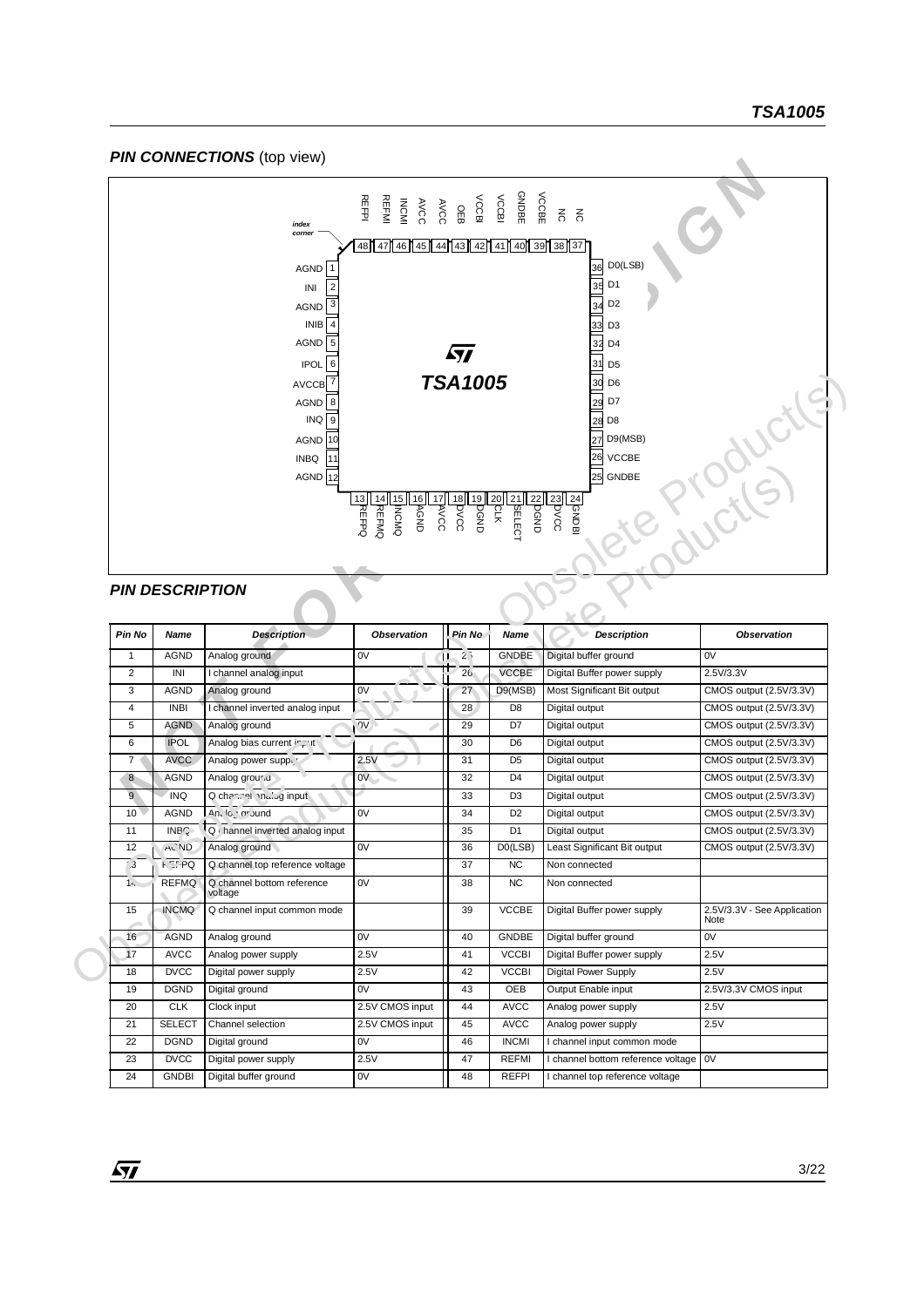#### **PIN CONNECTIONS** (top view)



#### *PIN DESCRIPTION*

 $\sqrt{27}$ 

|                                |                                | $\overline{7}$<br>AVCCB<br>8<br><b>AGND</b><br>INQ<br>9<br>10<br><b>AGND</b><br><b>INBQ</b><br>11<br>AGND $12$ | <b>MREFMQ</b><br>DWONI5<br>$\frac{1}{\sqrt{6}}$<br>300V<br>$\frac{13}{2}$ | <b>TSA1005</b><br>30 <sub>N</sub><br>$\frac{19}{9}$ | $\frac{20}{7}$<br><b>ASELECT</b><br>dhodis | 30<br>D <sub>6</sub><br>29<br>D7<br>28 D8<br>D9(MSB)<br>27<br><b>VCCBE</b><br>26<br>25<br><b>GNDBE</b><br>30 <sub>0</sub><br>$rac{24}{20}$ | 3 Productl                          |
|--------------------------------|--------------------------------|----------------------------------------------------------------------------------------------------------------|---------------------------------------------------------------------------|-----------------------------------------------------|--------------------------------------------|--------------------------------------------------------------------------------------------------------------------------------------------|-------------------------------------|
| Pin No                         | <b>PIN DESCRIPTION</b><br>Name | <b>Description</b>                                                                                             | Observation                                                               | Pin No                                              | Name                                       | Description                                                                                                                                | Observation                         |
|                                |                                |                                                                                                                |                                                                           |                                                     |                                            |                                                                                                                                            |                                     |
| $\mathbf{1}$<br>$\overline{2}$ | <b>AGND</b><br>INI             | Analog ground                                                                                                  | 0V                                                                        | 2.5<br>26                                           | <b>GNDBE</b><br><b>VCCBE</b>               | Digital buffer ground                                                                                                                      | 0V<br>2.5V/3.3V                     |
| 3                              | <b>AGND</b>                    | I channel analog input<br>Analog ground                                                                        | 0V                                                                        | 27                                                  | D9(MSB)                                    | Digital Buffer power supply<br>Most Significant Bit output                                                                                 | CMOS output (2.5V/3.3V)             |
| $\overline{4}$                 | <b>INBI</b>                    | I channel inverted analog input                                                                                |                                                                           | 28                                                  | D <sub>8</sub>                             | Digital output                                                                                                                             | CMOS output (2.5V/3.3V)             |
| 5                              | <b>AGND</b>                    | Analog ground                                                                                                  | $\sqrt{2}$                                                                | 29                                                  | D7                                         | Digital output                                                                                                                             | CMOS output (2.5V/3.3V)             |
| 6                              | <b>IPOL</b>                    | Analog bias current in the                                                                                     |                                                                           | 30                                                  | D <sub>6</sub>                             | Digital output                                                                                                                             | CMOS output (2.5V/3.3V)             |
| 7 <sub>1</sub>                 | <b>AVCC</b>                    | Analog power suppi                                                                                             | 2.5V                                                                      | 31                                                  | D <sub>5</sub>                             | Digital output                                                                                                                             | CMOS output (2.5V/3.3V)             |
| 8                              | <b>AGND</b>                    | Analog grour a                                                                                                 | $\vee$                                                                    | 32                                                  | D <sub>4</sub>                             | Digital output                                                                                                                             | CMOS output (2.5V/3.3V)             |
| 9                              | <b>INQ</b>                     | Q channel malby input                                                                                          |                                                                           | 33                                                  | D <sub>3</sub>                             | Digital output                                                                                                                             | CMOS output (2.5V/3.3V)             |
| 10                             | <b>AGND</b>                    | An. Ic. ar Jund                                                                                                | 0V                                                                        | 34                                                  | D <sub>2</sub>                             | Digital output                                                                                                                             | CMOS output (2.5V/3.3V)             |
| 11                             | $\overline{\text{INBC}}$       | Q hannel inverted analog input                                                                                 |                                                                           | 35                                                  | D <sub>1</sub>                             | Digital output                                                                                                                             | CMOS output (2.5V/3.3V)             |
| 12                             | <b>ACND</b>                    | Analog ground                                                                                                  | 0V                                                                        | 36                                                  | DO(LSB)                                    | Least Significant Bit output                                                                                                               | CMOS output (2.5V/3.3V)             |
| 3                              | <b>FET PQ</b>                  | Q channel top reference voltage                                                                                |                                                                           | 37                                                  | <b>NC</b>                                  | Non connected                                                                                                                              |                                     |
| $1 -$                          | <b>REFMQ</b>                   | Q channel bottom reference<br>voltage                                                                          | 0V                                                                        | 38                                                  | <b>NC</b>                                  | Non connected                                                                                                                              |                                     |
| 15                             | <b>INCMQ</b>                   | Q channel input common mode                                                                                    |                                                                           | 39                                                  | <b>VCCBE</b>                               | Digital Buffer power supply                                                                                                                | 2.5V/3.3V - See Application<br>Note |
| 16                             | <b>AGND</b>                    | Analog ground                                                                                                  | 0V                                                                        | 40                                                  | <b>GNDBE</b>                               | Digital buffer ground                                                                                                                      | 0V                                  |
| 17                             | <b>AVCC</b>                    | Analog power supply                                                                                            | 2.5V                                                                      | 41                                                  | <b>VCCBI</b>                               | Digital Buffer power supply                                                                                                                | 2.5V                                |
| 18                             | <b>DVCC</b><br><b>DGND</b>     | Digital power supply                                                                                           | 2.5V<br>0V                                                                | 42                                                  | <b>VCCBI</b>                               | <b>Digital Power Supply</b>                                                                                                                | 2.5V                                |
| 19                             |                                | Digital ground                                                                                                 |                                                                           | 43                                                  | OEB                                        | Output Enable input                                                                                                                        | 2.5V/3.3V CMOS input                |
| 20<br>21                       | <b>CLK</b><br><b>SELECT</b>    | Clock input<br>Channel selection                                                                               | 2.5V CMOS input<br>2.5V CMOS input                                        | 44<br>45                                            | <b>AVCC</b><br><b>AVCC</b>                 | Analog power supply                                                                                                                        | 2.5V<br>2.5V                        |
| 22                             | <b>DGND</b>                    | Digital ground                                                                                                 | 0V                                                                        | 46                                                  | <b>INCMI</b>                               | Analog power supply<br>I channel input common mode                                                                                         |                                     |
| 23                             | <b>DVCC</b>                    | Digital power supply                                                                                           | 2.5V                                                                      | 47                                                  | <b>REFMI</b>                               | I channel bottom reference voltage                                                                                                         | 0V                                  |
| 24                             | <b>GNDBI</b>                   | Digital buffer ground                                                                                          | 0V                                                                        | 48                                                  | <b>REFPI</b>                               | I channel top reference voltage                                                                                                            |                                     |
|                                |                                |                                                                                                                |                                                                           |                                                     |                                            |                                                                                                                                            |                                     |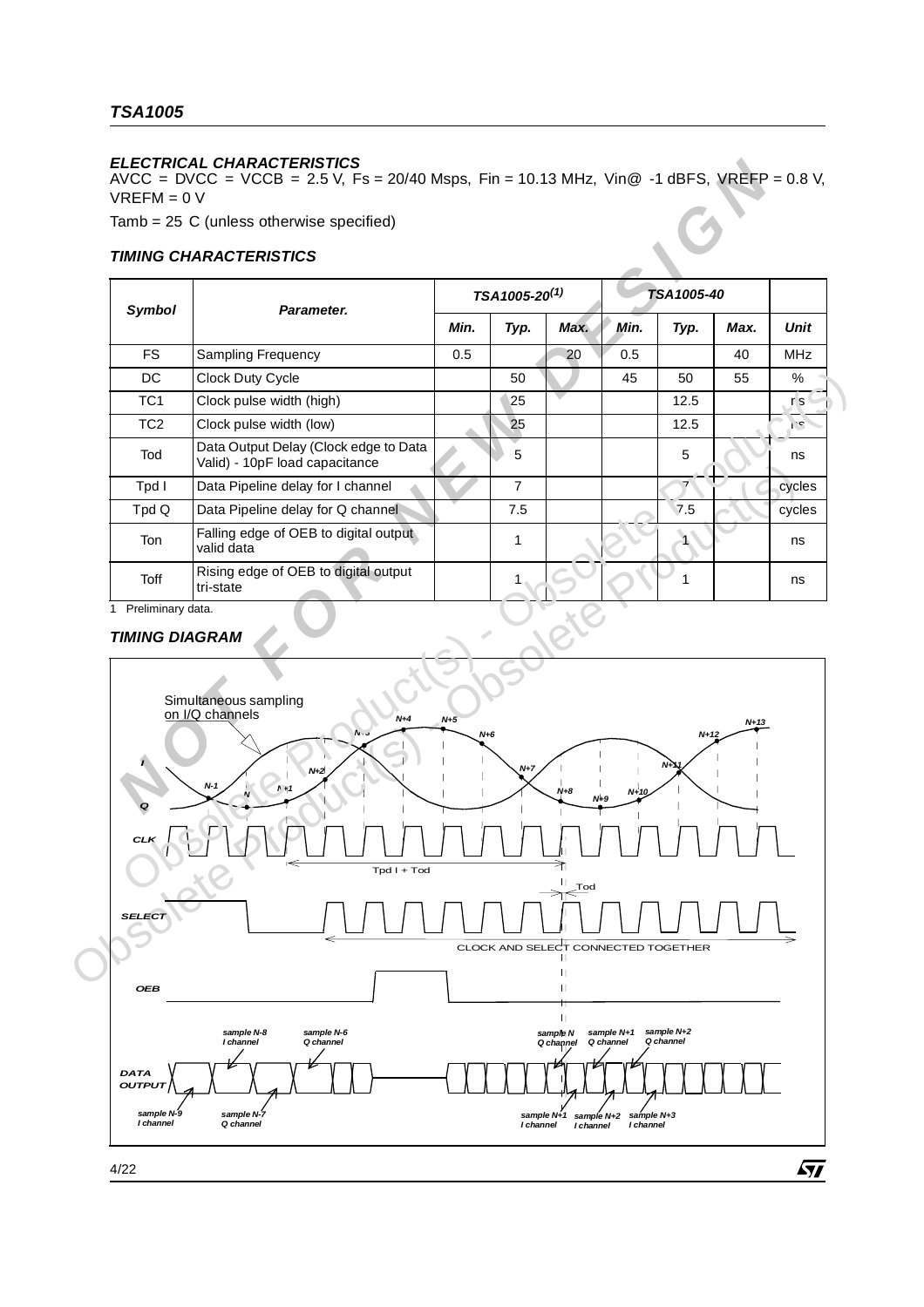## *TSA1005*

## *ELECTRICAL CHARACTERISTICS*

#### *TIMING CHARACTERISTICS*

|                       |                                                                         |       | TSA1005-20 <sup>(1)</sup> |      |      | TSA1005-40 |        |             |
|-----------------------|-------------------------------------------------------------------------|-------|---------------------------|------|------|------------|--------|-------------|
| Symbol                | Parameter.                                                              | Min.  | Typ.                      | Max. | Min. | Typ.       | Max.   | <b>Unit</b> |
| <b>FS</b>             | <b>Sampling Frequency</b>                                               | 0.5   |                           | 20   | 0.5  |            | 40     | <b>MHz</b>  |
| <b>DC</b>             | Clock Duty Cycle                                                        |       | 50                        |      | 45   | 50         | 55     | %           |
| TC <sub>1</sub>       | Clock pulse width (high)                                                |       | 25                        |      |      | 12.5       |        | r s         |
| TC <sub>2</sub>       | Clock pulse width (low)                                                 |       | 25                        |      |      | 12.5       |        | 1.5         |
| Tod                   | Data Output Delay (Clock edge to Data<br>Valid) - 10pF load capacitance |       | 5                         |      |      | 5          |        | ns          |
| Tpd I                 | Data Pipeline delay for I channel                                       |       | $\overline{7}$            |      |      |            |        | cycles      |
| Tpd Q                 | Data Pipeline delay for Q channel                                       |       | 7.5                       |      |      | 7.5        |        | cycles      |
| Ton                   | Falling edge of OEB to digital output<br>valid data                     |       | 1                         |      |      |            |        | ns          |
| <b>Toff</b>           | Rising edge of OEB to digital output<br>tri-state                       |       | 1                         |      |      | 1          |        | ns          |
| 1 Preliminary data.   |                                                                         |       |                           |      |      |            |        |             |
| <b>TIMING DIAGRAM</b> |                                                                         |       |                           |      |      |            |        |             |
|                       | Simultaneous sampling<br>on I/Q channels<br>$N+4$<br>NGC                | $N+5$ | $N+6$                     |      |      | $N+12$     | $N+13$ |             |

#### *TIMING DIAGRAM*

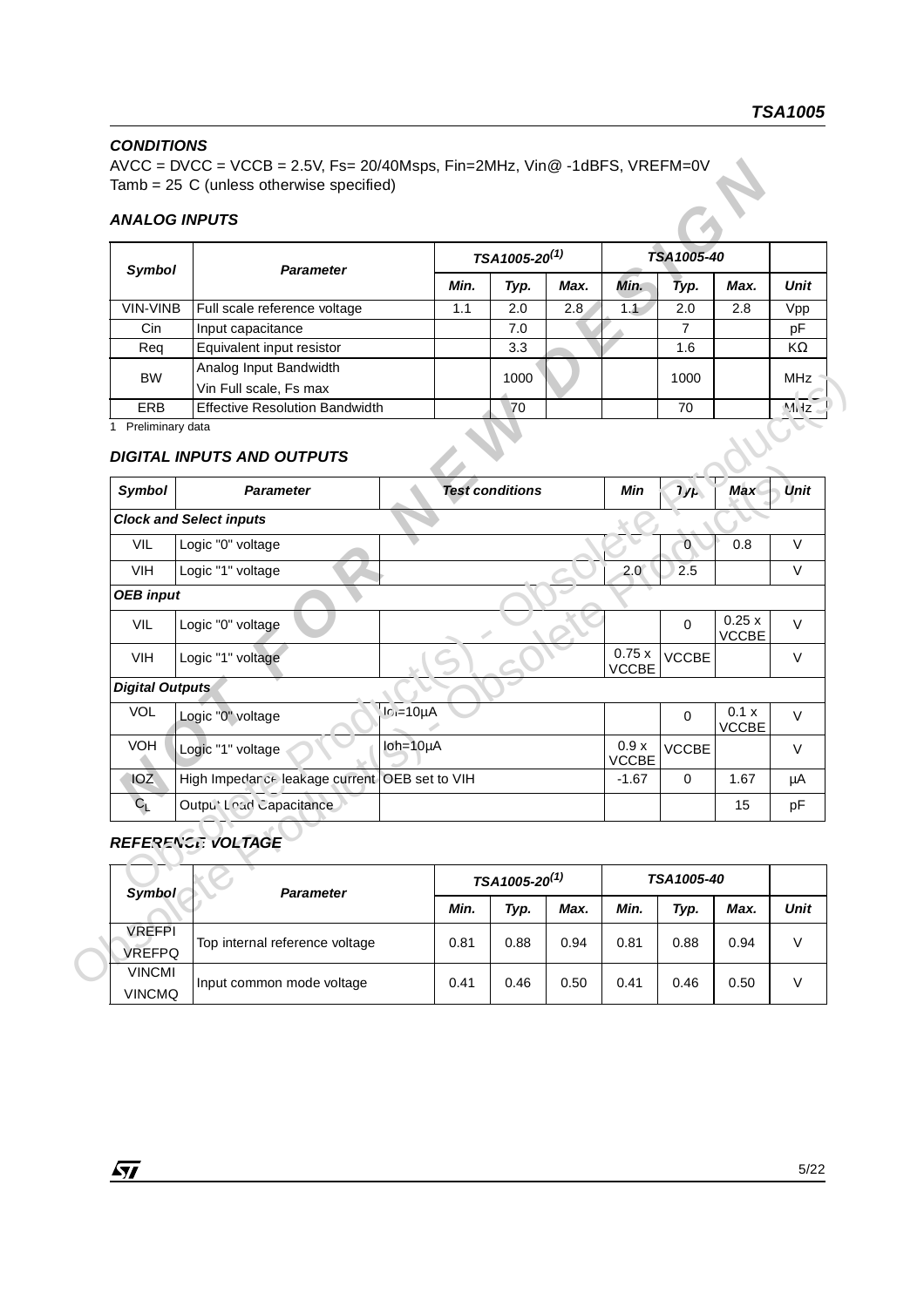## *CONDITIONS*

 $AVCC = DVCC = VCCB = 2.5V$ ,  $Fs = 20/40Msps$ ,  $Fin = 2MHz$ ,  $Vi@ -1dBFS$ ,  $VREFM=0V$ Tamb = 25 C (unless otherwise specified)

#### *ANALOG INPUTS*

| Symbol     | <b>Parameter</b>                      |      | TSA1005-20 <sup>(1)</sup> |      |      | TSA1005-40 |      |            |  |
|------------|---------------------------------------|------|---------------------------|------|------|------------|------|------------|--|
|            |                                       | Min. | Typ.                      | Max. | Min. | Typ.       | Max. | Unit       |  |
| VIN-VINB   | Full scale reference voltage          | 1.1  | 2.0                       | 2.8  | 1.1  | 2.0        | 2.8  | Vpp        |  |
| Cin.       | Input capacitance                     |      | 7.0                       |      |      |            |      | pF         |  |
| Reg        | Equivalent input resistor             |      | 3.3                       |      |      | 1.6        |      | KΩ         |  |
| <b>BW</b>  | Analog Input Bandwidth                |      |                           |      |      |            |      | <b>MHz</b> |  |
|            | Vin Full scale, Fs max                |      | 1000                      |      |      | 1000       |      |            |  |
| <b>ERB</b> | <b>Effective Resolution Bandwidth</b> |      | 70                        |      |      | 70         |      | M dz       |  |

## *DIGITAL INPUTS AND OUTPUTS*

|                                |                                                  |                   | TSA1005-20 <sup>(1)</sup> |      |                       | TSA1005-40     |                       |                |
|--------------------------------|--------------------------------------------------|-------------------|---------------------------|------|-----------------------|----------------|-----------------------|----------------|
| Symbol                         | <b>Parameter</b>                                 | Min.              | Typ.                      | Max. | Min.                  | Typ.           | Max.                  | Unit           |
| VIN-VINB                       | Full scale reference voltage                     | 1.1               | 2.0                       | 2.8  | 1.1                   | 2.0            | 2.8                   | Vpp            |
| Cin                            | Input capacitance                                |                   | 7.0                       |      |                       | 7              |                       | pF             |
| Req                            | Equivalent input resistor                        |                   | 3.3                       |      |                       | 1.6            |                       | ΚΩ             |
| <b>BW</b>                      | Analog Input Bandwidth<br>Vin Full scale, Fs max |                   | 1000                      |      |                       | 1000           |                       | <b>MHz</b>     |
| <b>ERB</b>                     | <b>Effective Resolution Bandwidth</b>            |                   | 70                        |      |                       | 70             |                       | M <sub>1</sub> |
| Symbol                         | <b>Parameter</b>                                 |                   | <b>Test conditions</b>    |      | Min                   | J/f            | Max                   | Unit           |
|                                | <b>Clock and Select inputs</b>                   |                   |                           |      |                       |                |                       |                |
| VIL                            | Logic "0" voltage                                |                   |                           |      |                       | $\overline{0}$ | 0.8                   | V              |
| <b>VIH</b>                     | Logic "1" voltage                                |                   |                           |      | 2.0 <sub>2</sub>      | 2.5            |                       | V              |
| <b>OEB</b> input               |                                                  |                   |                           |      |                       |                |                       |                |
| <b>VIL</b>                     | Logic "0" voltage                                |                   |                           |      |                       | $\mathbf 0$    | 0.25x<br><b>VCCBE</b> | V              |
| VIH                            | Logic "1" voltage                                |                   |                           |      | 0.75x<br><b>VCCBE</b> | <b>VCCBE</b>   |                       | V              |
| <b>Digital Outputs</b>         |                                                  |                   |                           |      |                       |                |                       |                |
| <b>VOL</b>                     | Logic "0" voltage                                | $ c =10\mu A$     |                           |      |                       | $\mathbf 0$    | 0.1 x<br>VCCBE        | V              |
| VOH                            | Logic "1" voltage                                | $I$ oh=10 $\mu$ A |                           |      | 0.9x<br>VCCBE         | <b>VCCBE</b>   |                       | V              |
| <b>IOZ</b>                     | High Impedar ce leakage current OEB set to VIH   |                   |                           |      | $-1.67$               | 0              | 1.67                  | μA             |
| $C_{L}$                        | Outpu' Load Capacitance                          |                   |                           |      |                       |                | 15                    | pF             |
|                                | <b>REFERENCE VOLTAGE</b>                         |                   |                           |      |                       |                |                       |                |
| Symbol                         | Parameter                                        |                   | TSA1005-20 <sup>(1)</sup> |      |                       | TSA1005-40     |                       |                |
|                                |                                                  | Min.              | Typ.                      | Max. | Min.                  | Typ.           | Max.                  | Unit           |
| <b>VREFPI</b>                  | Top internal reference voltage                   | 0.81              | 0.88                      | 0.94 | 0.81                  | 0.88           | 0.94                  | $\mathsf V$    |
| <b>VREFPQ</b><br><b>VINCMI</b> |                                                  |                   |                           |      |                       |                |                       |                |
|                                |                                                  | 0.41              | 0.46                      | 0.50 | 0.41                  | 0.46           | 0.50                  | $\vee$         |

## *REFERENCE VOLTAGE*

| Symbol                         | <b>Parameter</b>               | TSA1005-20 <sup>(1)</sup> |      |      | TSA1005-40 |      |      |      |
|--------------------------------|--------------------------------|---------------------------|------|------|------------|------|------|------|
|                                |                                | Min.                      | Typ. | Max. | Min.       | Typ. | Max. | Unit |
| <b>VREFPI</b><br><b>VREFPQ</b> | Top internal reference voltage | 0.81                      | 0.88 | 0.94 | 0.81       | 0.88 | 0.94 | V    |
| <b>VINCMI</b><br><b>VINCMQ</b> | Input common mode voltage      | 0.41                      | 0.46 | 0.50 | 0.41       | 0.46 | 0.50 | V    |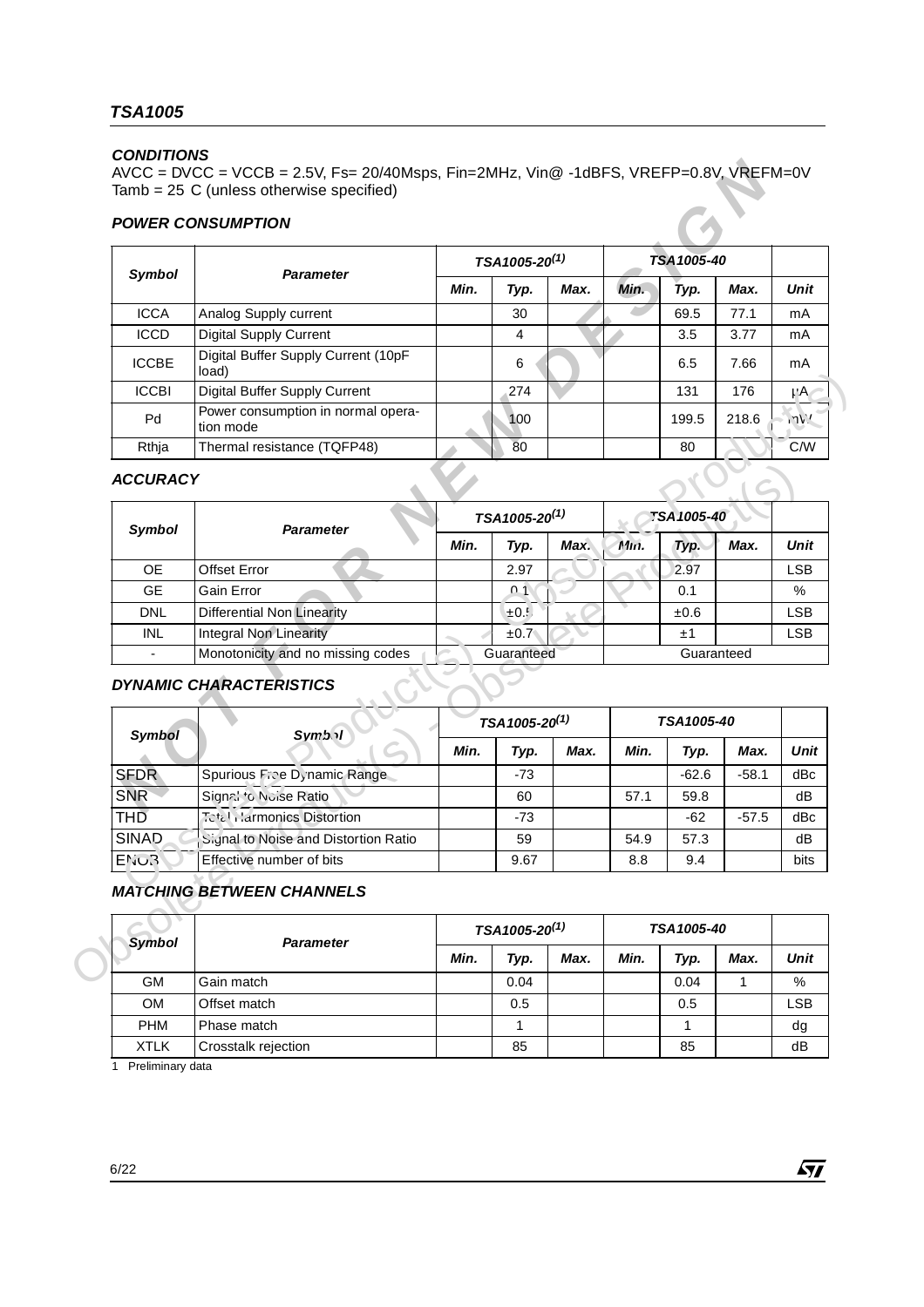### *CONDITIONS*

#### *POWER CONSUMPTION*

|                 | $\text{AVCC} = \text{DVCC} = \text{VCCB} = 2.5\text{V}$ , Fs= 20/40Msps, Fin=2MHz, Vin@ -1dBFS, VREFP=0.8V, VREFM=0V<br>Tamb = 25 C (unless otherwise specified)<br><b>POWER CONSUMPTION</b> |      |                           |      |      |             |         |             |
|-----------------|----------------------------------------------------------------------------------------------------------------------------------------------------------------------------------------------|------|---------------------------|------|------|-------------|---------|-------------|
|                 |                                                                                                                                                                                              |      | TSA1005-20 <sup>(1)</sup> |      |      | TSA1005-40  |         |             |
| Symbol          | <b>Parameter</b>                                                                                                                                                                             | Min. | Typ.                      | Max. | Min. | Typ.        | Max.    | Unit        |
| <b>ICCA</b>     | Analog Supply current                                                                                                                                                                        |      | 30                        |      |      | 69.5        | 77.1    | mA          |
| <b>ICCD</b>     | <b>Digital Supply Current</b>                                                                                                                                                                |      | 4                         |      |      | 3.5         | 3.77    | mA          |
| <b>ICCBE</b>    | Digital Buffer Supply Current (10pF<br>load)                                                                                                                                                 |      | 6                         |      |      | 6.5         | 7.66    | mA          |
| <b>ICCBI</b>    | Digital Buffer Supply Current                                                                                                                                                                |      | 274                       |      |      | 131         | 176     | μA          |
| Pd              | Power consumption in normal opera-<br>tion mode                                                                                                                                              |      | 100                       |      |      | 199.5       | 218.6   | 17V'        |
| Rthja           | Thermal resistance (TQFP48)                                                                                                                                                                  |      | 80                        |      |      | 80          |         | C/M         |
| <b>ACCURACY</b> | <b>Parameter</b>                                                                                                                                                                             |      | TSA1005-20 <sup>(1)</sup> |      |      | TSA 1005-40 |         |             |
| Symbol          |                                                                                                                                                                                              | Min. | Typ.                      | Max. | Min. | Typ.        | Max.    | Unit        |
| <b>OE</b>       | <b>Offset Error</b>                                                                                                                                                                          |      | 2.97                      |      |      | 2.97        |         | <b>LSB</b>  |
| <b>GE</b>       | Gain Error                                                                                                                                                                                   |      | $^{\circ}$ 1              |      |      | 0.1         |         | %           |
| <b>DNL</b>      | <b>Differential Non Linearity</b>                                                                                                                                                            |      | $\pm 0.5$                 |      |      | ±0.6        |         | <b>LSB</b>  |
| <b>INL</b>      | <b>Integral Non Linearity</b>                                                                                                                                                                |      | $\pm 0.7^{\circ}$         |      |      | ±1          |         | <b>LSB</b>  |
|                 | Monotonicity and no missing codes                                                                                                                                                            |      | Guaranteed                |      |      | Guaranteed  |         |             |
|                 | <b>DYNAMIC CHARACTERISTICS</b>                                                                                                                                                               |      | TSA1005-20 <sup>(1)</sup> |      |      | TSA1005-40  |         |             |
| <b>Symbol</b>   | <b>Symb</b>                                                                                                                                                                                  | Min. | Typ.                      | Max. | Min. | Typ.        | Max.    | <b>Unit</b> |
| <b>SFDR</b>     | Spurious Fice Dynamic Range                                                                                                                                                                  |      | $-73$                     |      |      | $-62.6$     | $-58.1$ | dBc         |
|                 |                                                                                                                                                                                              |      |                           |      |      |             |         |             |
| <b>SNR</b>      | Signal to Nuise Ratio                                                                                                                                                                        |      | 60                        |      | 57.1 | 59.8        |         | dB          |

## *ACCURACY*

| <b>ICCBI</b>    | Digital Buffer Supply Current                   |      | 274                       |      |      | 131               | 176       | $\mu$ A      |
|-----------------|-------------------------------------------------|------|---------------------------|------|------|-------------------|-----------|--------------|
| Pd              | Power consumption in normal opera-<br>tion mode |      | 100                       |      |      | 199.5             | 218.6     | 17V'         |
| Rthja           | Thermal resistance (TQFP48)                     |      | 80                        |      |      | 80                |           | C/W          |
| <b>ACCURACY</b> |                                                 |      |                           |      |      |                   |           |              |
| Symbol          | <b>Parameter</b>                                |      | TSA1005-20 <sup>(1)</sup> |      |      | TSA 1005-40       |           |              |
|                 |                                                 | Min. | Typ.                      | Max. | Min. | Typ.              | Max.      | Unit         |
| <b>OE</b>       | <b>Offset Error</b>                             |      | 2.97                      |      |      | 2.97              |           | <b>LSB</b>   |
| <b>GE</b>       | Gain Error                                      |      | n <sub>1</sub>            |      |      | 0.1               |           | %            |
| <b>DNL</b>      | <b>Differential Non Linearity</b>               |      | $\pm 0.5$                 |      |      | $\pm 0.6$         |           | <b>LSB</b>   |
| <b>INL</b>      | <b>Integral Non Linearity</b>                   |      | ±0.7                      |      |      | ±1                |           | <b>LSB</b>   |
| $\overline{a}$  | Monotonicity and no missing codes               |      | Guaranteed                |      |      | Guaranteed        |           |              |
|                 | <b>DYNAMIC CHARACTERISTICS</b>                  |      |                           |      |      |                   |           |              |
|                 |                                                 |      | TSA1005-20 <sup>(1)</sup> |      |      | <b>TSA1005-40</b> |           |              |
| <b>Symbol</b>   | <b>Symb</b>                                     | Min. | Typ.                      | Max. | Min. | Typ.              | Max.      | Unit         |
| <b>SFDR</b>     | Spurious Fice Dynamic Range                     |      | $-73$                     |      |      | $-62.6$           | $-58.1$   | dBc          |
| <b>SNR</b>      | Signal to Nuise Ratio                           |      | 60                        |      | 57.1 | 59.8              |           | dB           |
| <b>THD</b>      | Tetal Larmonics Distortion                      |      | $-73$                     |      |      | $-62$             | $-57.5$   | dBc          |
| <b>SINAD</b>    | Signal to Noise and Distortion Ratio            |      | 59                        |      | 54.9 | 57.3              |           | dB           |
| ENOR            | Effective number of bits                        |      | 9.67                      |      | 8.8  | 9.4               |           |              |
|                 | <b>MATCHING BETWEEN CHANNELS</b>                |      | TSA1005-20 <sup>(1)</sup> |      |      | TSA1005-40        |           | bits         |
| <b>Symbol</b>   | <b>Parameter</b>                                |      |                           |      |      |                   |           |              |
| <b>GM</b>       | Gain match                                      | Min. | Typ.<br>0.04              | Max. | Min. | Typ.<br>0.04      | Max.<br>1 | Unit<br>$\%$ |

## *DYNAMIC CHARACTERISTICS*

| Symbol      | <b>Symb</b>                          | TSA1005-20 <sup>(1)</sup> |       |      | <b>TSA1005-40</b> |         |         |      |
|-------------|--------------------------------------|---------------------------|-------|------|-------------------|---------|---------|------|
|             |                                      | Min.                      | Typ.  | Max. | Min.              | Typ.    | Max.    | Unit |
| <b>SFDR</b> | Spurious Fice Dynamic Range          |                           | $-73$ |      |                   | $-62.6$ | $-58.1$ | dBc  |
| <b>SNR</b>  | Signal to Nuise Ratio                |                           | 60    |      | 57.1              | 59.8    |         | dB   |
| <b>THD</b>  | <b>Tetal Harmonics Distortion</b>    |                           | $-73$ |      |                   | $-62$   | $-57.5$ | dBc  |
| SINAD       | Signal to Noise and Distortion Ratio |                           | 59    |      | 54.9              | 57.3    |         | dB   |
| <b>ENOR</b> | Effective number of bits             |                           | 9.67  |      | 8.8               | 9.4     |         | bits |

## *MATCHING BETWEEN CHANNELS*

| <b>Symbol</b> | <b>Parameter</b>    | TSA1005-20 <sup>(1)</sup> |      |      | <b>TSA1005-40</b> |      |      |      |
|---------------|---------------------|---------------------------|------|------|-------------------|------|------|------|
|               |                     | Min.                      | Typ. | Max. | Min.              | Typ. | Max. | Unit |
| <b>GM</b>     | Gain match          |                           | 0.04 |      |                   | 0.04 |      | %    |
| <b>OM</b>     | Offset match        |                           | 0.5  |      |                   | 0.5  |      | LSB  |
| <b>PHM</b>    | Phase match         |                           |      |      |                   |      |      | dg   |
| <b>XTLK</b>   | Crosstalk rejection |                           | 85   |      |                   | 85   |      | dB   |

1 Preliminary data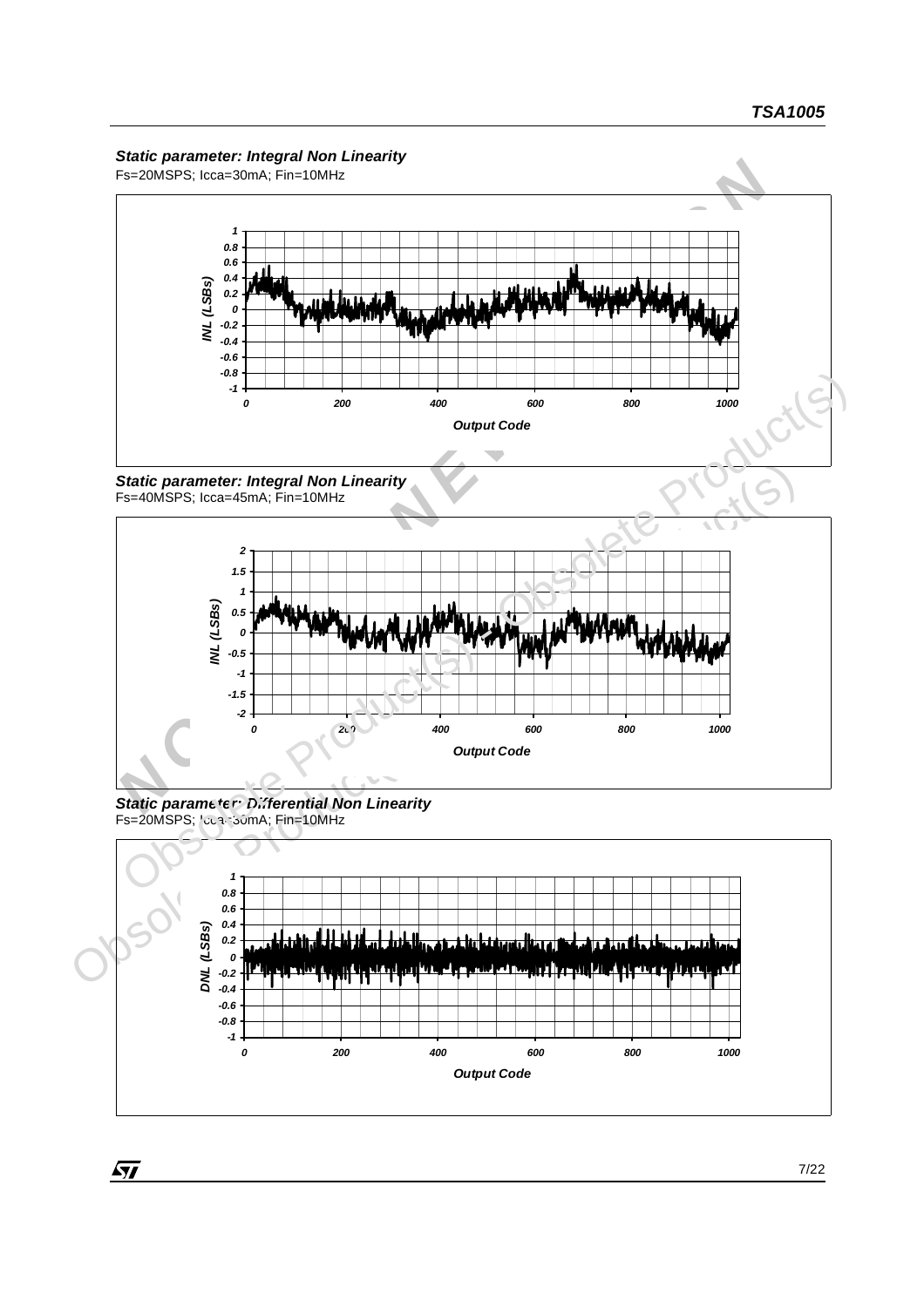#### *Static parameter: Integral Non Linearity*

Fs=20MSPS; Icca=30mA; Fin=10MHz







*Static parameter: Differential Non Linearity* Fs=20MSPS; Icca=30mA; Fin=10MHz



 $\sqrt{27}$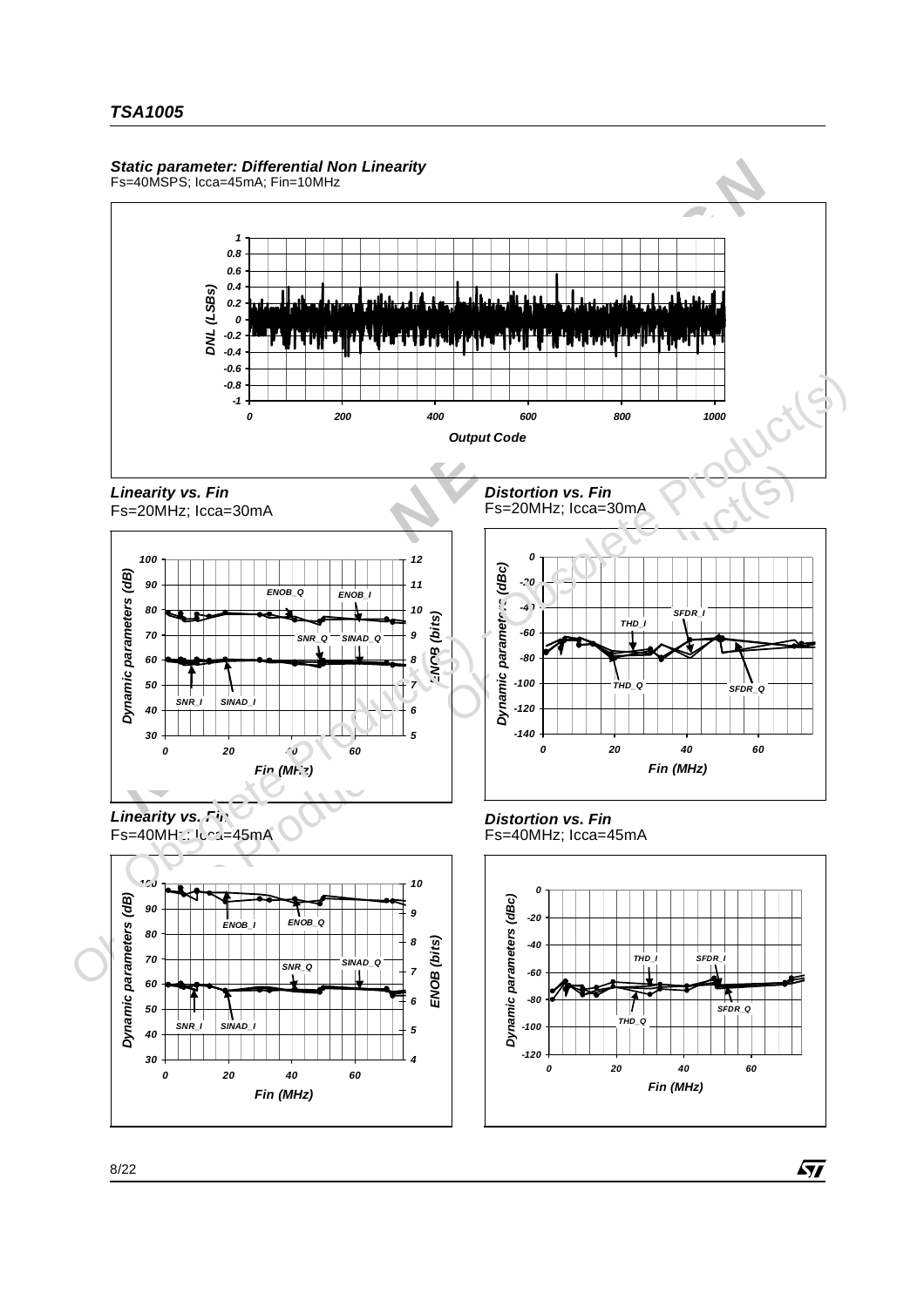#### *Static parameter: Differential Non Linearity*

Fs=40MSPS; Icca=45mA; Fin=10MHz



57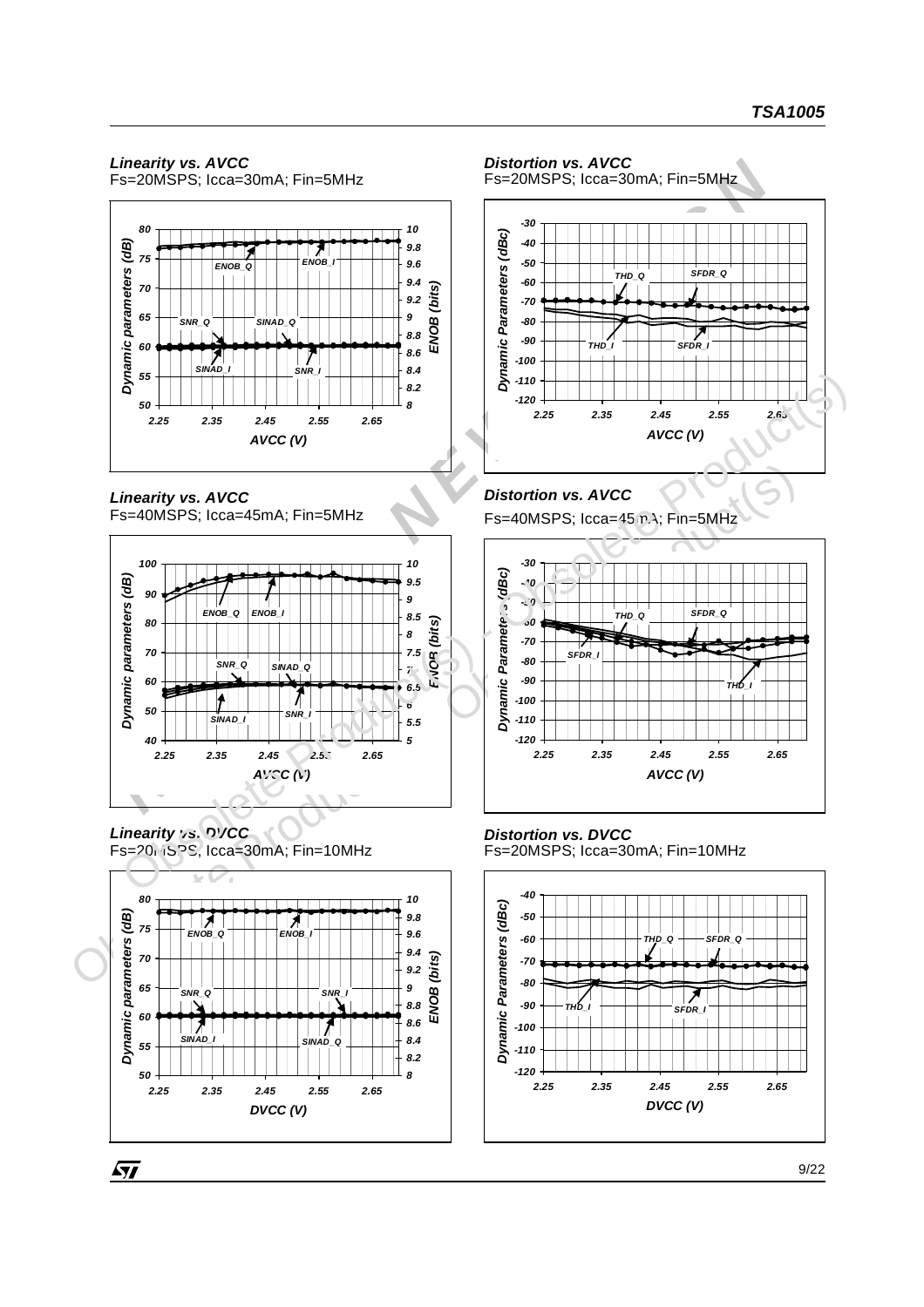## *Linearity vs. AVCC*

Fs=20MSPS; Icca=30mA; Fin=5MHz



*Linearity vs. AVCC* Fs=40MSPS; Icca=45mA; Fin=5MHz



*Linearity vs. DVCC*  $Fs = 20$ .  $659$ S, Icca=30mA; Fin=10MHz

57



#### *Distortion vs. AVCC*

Fs=20MSPS; Icca=30mA; Fin=5MHz



## *Distortion vs. AVCC*

Fs=40MSPS; Icca=45mA; Fin=5MHz



*Distortion vs. DVCC* Fs=20MSPS; Icca=30mA; Fin=10MHz

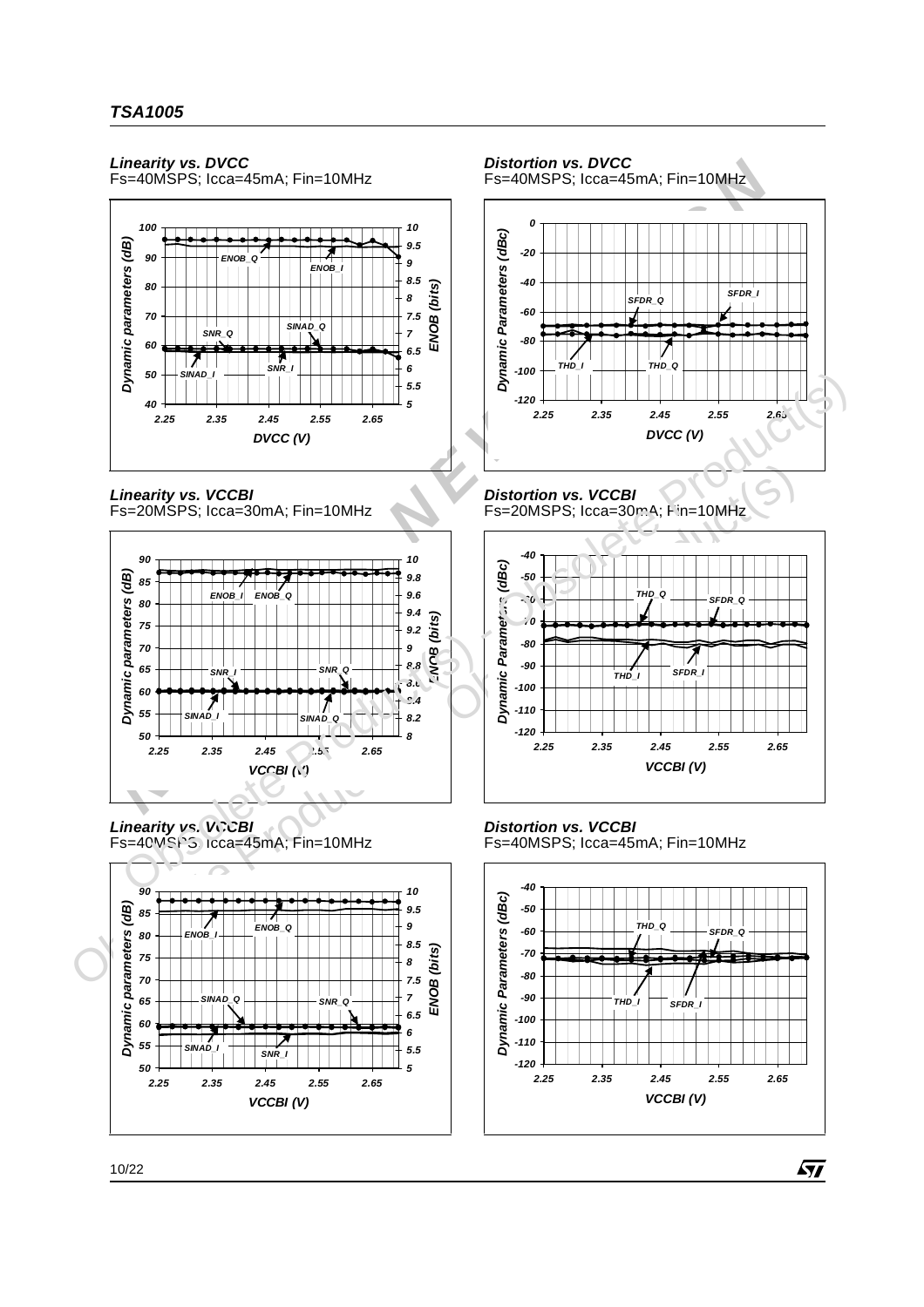#### *Linearity vs. DVCC*

Fs=40MSPS; Icca=45mA; Fin=10MHz



*Linearity vs. VCCBI* Fs=20MSPS; Icca=30mA; Fin=10MHz



*Linearity vs. VCCBI* Fs=40MSPS; Icca=45mA; Fin=10MHz



*Distortion vs. DVCC* Fs=40MSPS; Icca=45mA; Fin=10MHz *-120 -100 -80 -60 -40 -20 0 2.25 2.35 2.45 2.55 2.65 DVCC (V) Dynamic Parameters (dBc) SFDR\_Q SFDR\_I THD\_I THD\_Q*

#### *Distortion vs. VCCBI* Fs=20MSPS; Icca=30mA; Fin=10MHz



## *Distortion vs. VCCBI*

Fs=40MSPS; Icca=45mA; Fin=10MHz

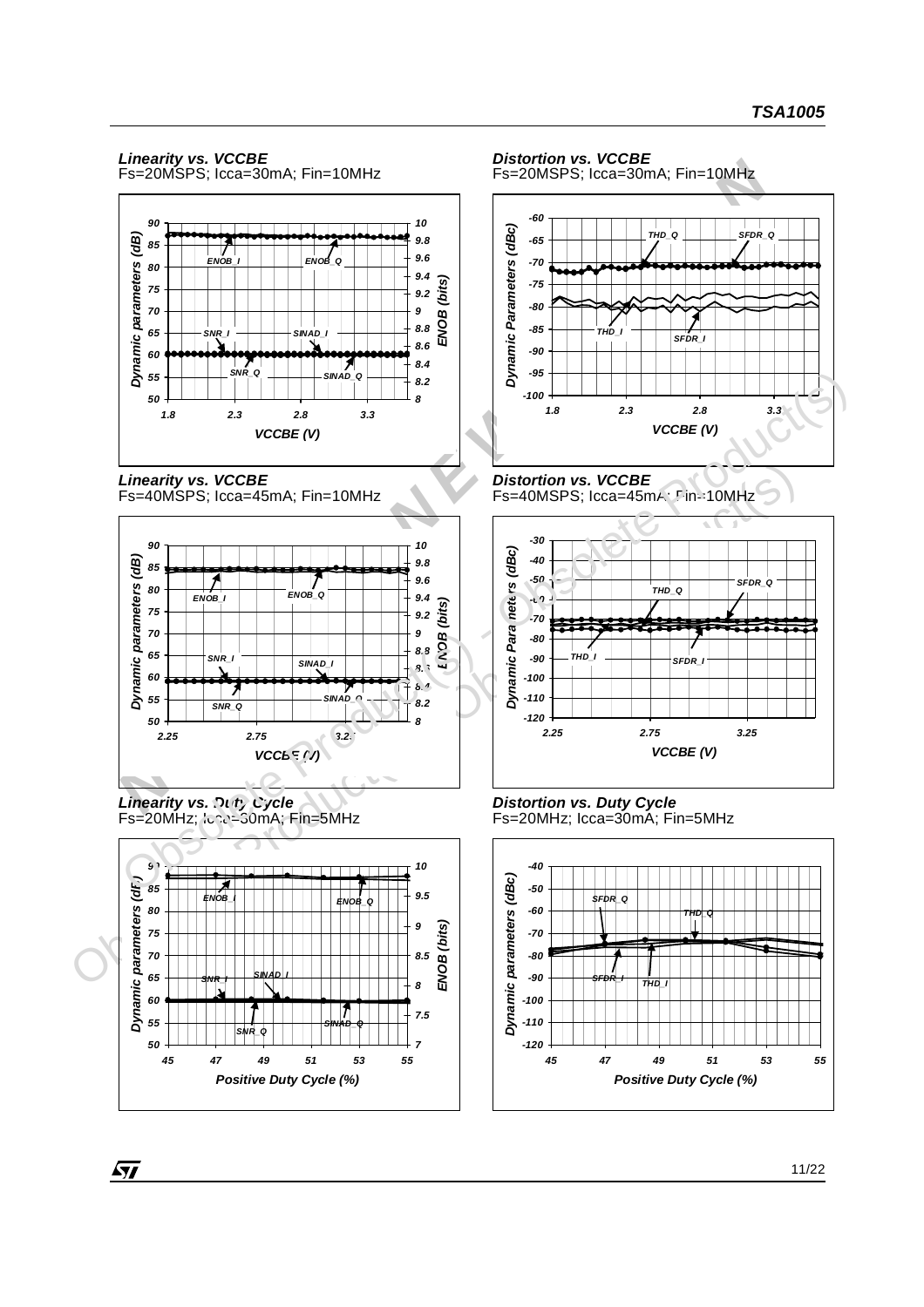## *Linearity vs. VCCBE*

Fs=20MSPS; Icca=30mA; Fin=10MHz







*Linearity vs. Duty Cycle*  $Fs = 20MHz$ ;  $Ic^2c^2 = 30mA$ ;  $Fin = 5MHz$ 



#### *Distortion vs. VCCBE* Fs=20MSPS; Icca=30mA; Fin=10MHz



#### *Distortion vs. VCCBE* Fs=40MSPS; Icca=45mA; Fin=10MHz



*Distortion vs. Duty Cycle* Fs=20MHz; Icca=30mA; Fin=5MHz

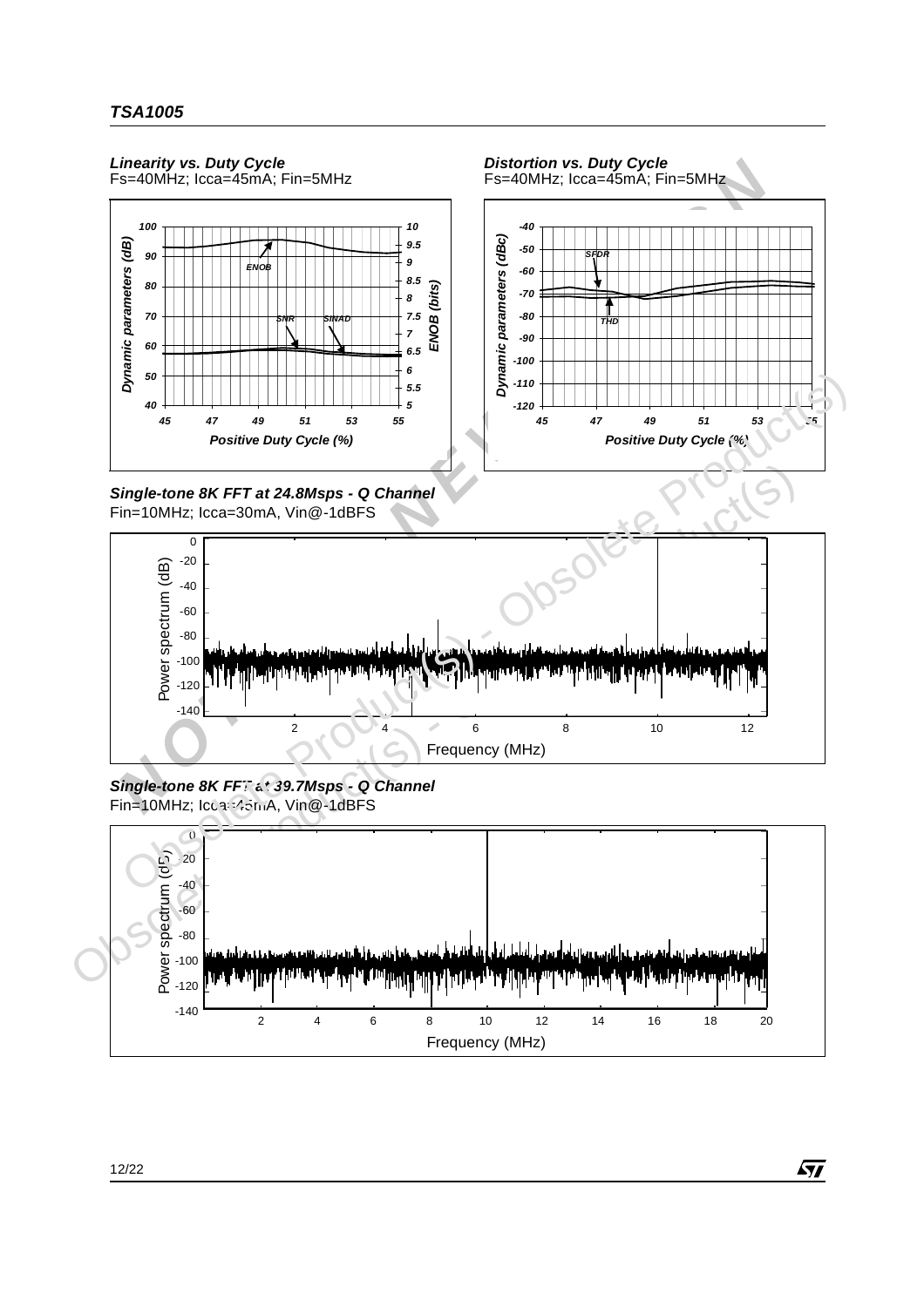





*Distortion vs. Duty Cycle*





#### *Single-tone 8K FFT at 39.7Msps - Q Channel* Fin=10MHz; Icca=45mA, Vin@-1dBFS

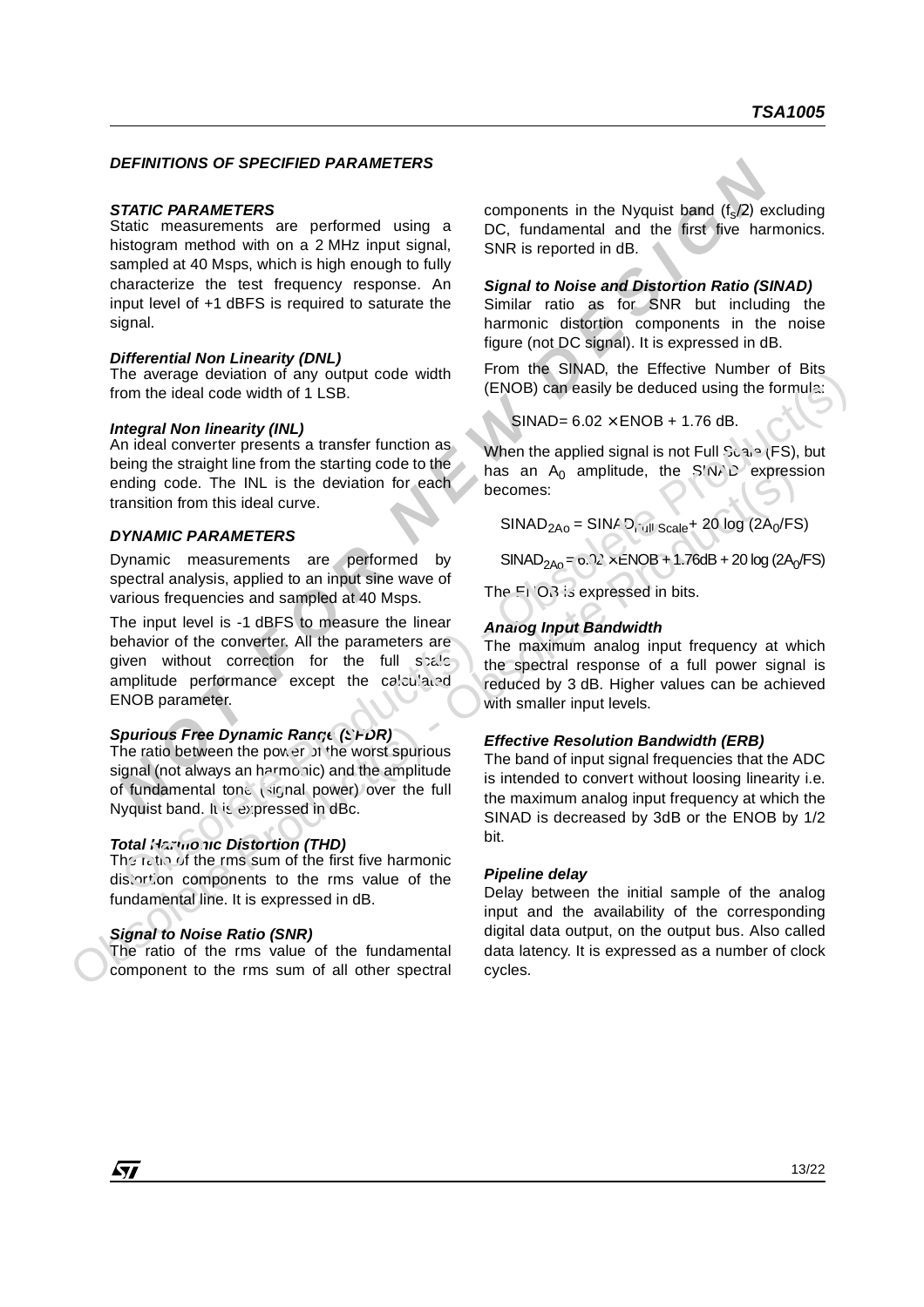#### *DEFINITIONS OF SPECIFIED PARAMETERS*

#### *STATIC PARAMETERS*

**DEFINITIONS OF SPECIFIED PARAMEIERS**<br>
Natio measurements are performed using a<br>
Incorponents in the Nyquist band ( $t_0$ 2) e<br>
Instagram method with on a 2 MHz input signal,<br>
SNR is reported in dB.<br>
Instagram method with on Static measurements are performed using a histogram method with on a 2 MHz input signal, sampled at 40 Msps, which is high enough to fully characterize the test frequency response. An input level of +1 dBFS is required to saturate the signal.

#### *Differential Non Linearity (DNL)*

The average deviation of any output code width from the ideal code width of 1 LSB.

#### *Integral Non linearity (INL)*

An ideal converter presents a transfer function as being the straight line from the starting code to the ending code. The INL is the deviation for each transition from this ideal curve.

#### *DYNAMIC PARAMETERS*

Dynamic measurements are performed by spectral analysis, applied to an input sine wave of various frequencies and sampled at 40 Msps.

being the straight line form in the starting code to the castron of the starting code. The INL is the deviation for each becomes:<br> **DYNAMIC PARAMETERS**<br>
Dynamic measurements are performed by spiral SINAD<sub>2A0</sub>= 6.12 xENOB+ The input level is -1 dBFS to measure the linear behavior of the converter. All the parameters are given without correction for the full seale amplitude performance except the calculated ENOB parameter. The average evident of the average the calculator<br>
The five the maximum and the strainer to the maximum and the strainer to the strainer to the maximum and the strainer to the maximum and the strainer to the maximum and t

#### *Spurious Free Dynamic Range (SFDR)*

The ratio between the power of the worst spurious signal (not always an harmonic) and the amplitude of fundamental tone (signal power) over the full Nyquist band. It is expressed in dBc.

#### *Total Harmonic Distortion (THD)*

The ratio of the rms sum of the first five harmonic distortion components to the rms value of the fundamental line. It is expressed in dB.

#### *Signal to Noise Ratio (SNR)*

The ratio of the rms value of the fundamental component to the rms sum of all other spectral components in the Nyquist band  $(f_{s}/2)$  excluding DC, fundamental and the first five harmonics. SNR is reported in dB.

#### *Signal to Noise and Distortion Ratio (SINAD)*

Similar ratio as for SNR but including the harmonic distortion components in the noise figure (not DC signal). It is expressed in dB.

From the SINAD, the Effective Number of Bits (ENOB) can easily be deduced using the formula:

 $SINAD = 6.02 \times ENOB + 1.76$  dB.

When the applied signal is not Full Scale (FS), but has an  $A_0$  amplitude, the SINAD expression becomes:

 $SINAD<sub>2A0</sub> = SINAD<sub>1</sub>$ <sub>ull Scale</sub>+ 20 log (2A<sub>0</sub>/FS)

 $SINAD<sub>2AO</sub> = 0.02 \times ENOB + 1.76dB + 20 log (2A<sub>0</sub>/FS)$ 

The  $F(X)$  is expressed in bits.

#### *Analog Input Bandwidth*

The maximum analog input frequency at which the spectral response of a full power signal is reduced by 3 dB. Higher values can be achieved with smaller input levels.

#### *Effective Resolution Bandwidth (ERB)*

The band of input signal frequencies that the ADC is intended to convert without loosing linearity i.e. the maximum analog input frequency at which the SINAD is decreased by 3dB or the ENOB by 1/2 bit.

#### *Pipeline delay*

Delay between the initial sample of the analog input and the availability of the corresponding digital data output, on the output bus. Also called data latency. It is expressed as a number of clock cycles.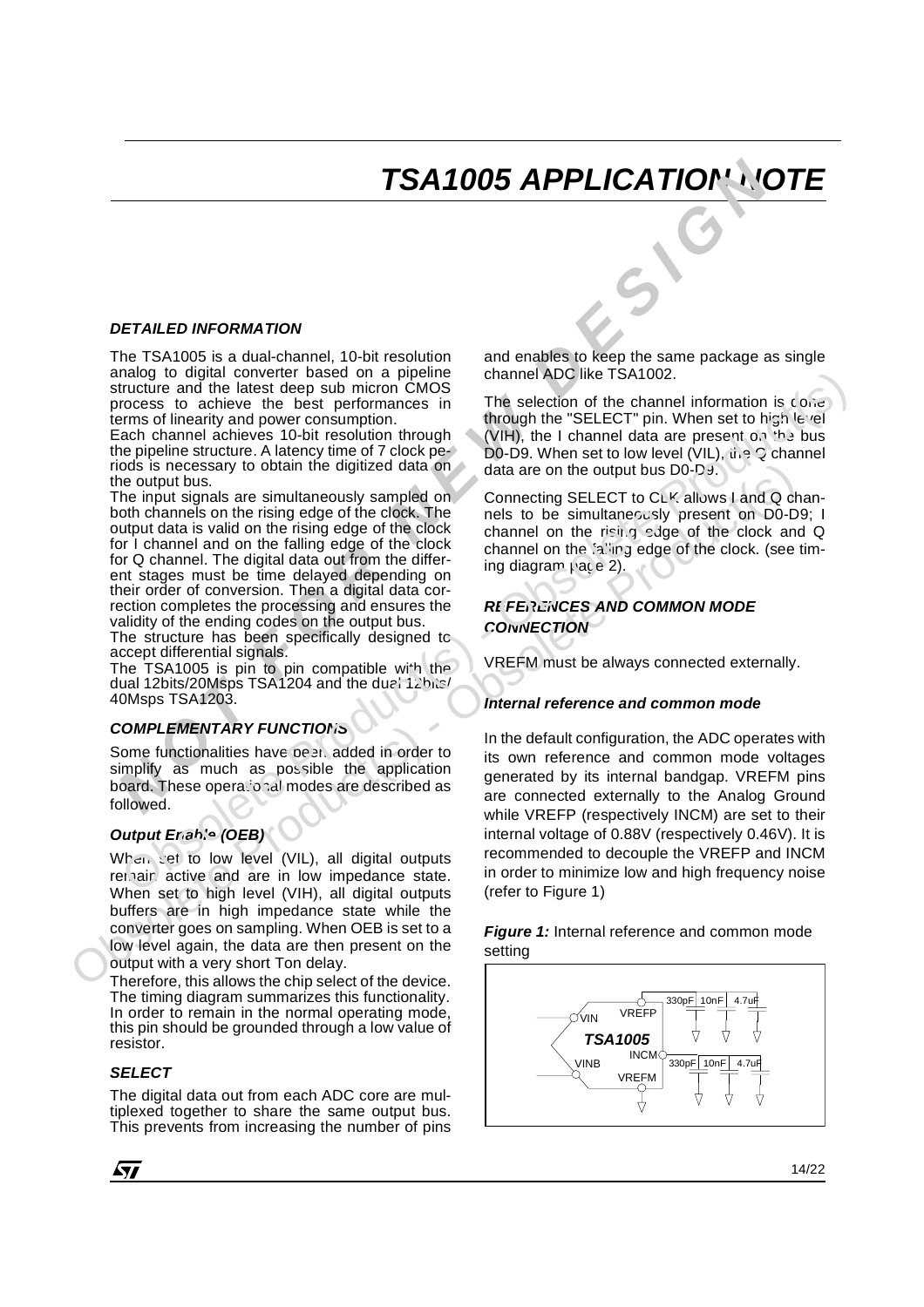## *TSA1005 APPLICATION NOTE*

#### *DETAILED INFORMATION*

The TSA1005 is a dual-channel, 10-bit resolution analog to digital converter based on a pipeline structure and the latest deep sub micron CMOS process to achieve the best performances in terms of linearity and power consumption.

Each channel achieves 10-bit resolution through the pipeline structure. A latency time of 7 clock periods is necessary to obtain the digitized data on the output bus.

**NOTE ATTENT CONTINUATE THE SAMUATE ATTENT CONTINUATE THE TEST ON THE SAMUATE THE SAMUATE CONTINUATE AND CONTINUATE THE SAMUATE CONTINUATE THE SAMUATE CONTINUATE THE SAMUATE CONTINUATE THE SAMUATE CONTINUATE THE SAMUATE C** The input signals are simultaneously sampled on both channels on the rising edge of the clock. The output data is valid on the rising edge of the clock for I channel and on the falling edge of the clock for Q channel. The digital data out from the different stages must be time delayed depending on their order of conversion. Then a digital data correction completes the processing and ensures the validity of the ending codes on the output bus.

The structure has been specifically designed to accept differential signals.

The TSA1005 is pin to pin compatible with the dual 12bits/20Msps TSA1204 and the dual 12bits/ 40Msps TSA1203.

#### *COMPLEMENTARY FUNCTIONS*

Some functionalities have been added in order to simplify as much as possible the application board. These operational modes are described as followed.

#### *Output Enable (OEB)*

When set to low level (VIL), all digital outputs remain active and are in low impedance state. When set to high level (VIH), all digital outputs buffers are in high impedance state while the converter goes on sampling. When OEB is set to a low level again, the data are then present on the output with a very short Ton delay.

Therefore, this allows the chip select of the device. The timing diagram summarizes this functionality. In order to remain in the normal operating mode, this pin should be grounded through a low value of resistor.

#### *SELECT*

The digital data out from each ADC core are multiplexed together to share the same output bus. This prevents from increasing the number of pins and enables to keep the same package as single channel ADC like TSA1002.

The selection of the channel information is  $\cos \theta$ through the "SELECT" pin. When set to high level (VIH), the I channel data are present on the bus D0-D9. When set to low level (VIL),  $\hat{u}$  is  $\Omega$  channel data are on the output bus D0-D9.

Connecting SELECT to CLK allows I and Q channels to be simultaneously present on D0-D9; I channel on the rising edge of the clock and Q channel on the falling edge of the clock. (see timing diagram  $\mu$ ace 2).

#### *REFERENCES AND COMMON MODE CONNECTION*

VREFM must be always connected externally.

#### *Internal reference and common mode*

The input signal are digital and the digital and only a data are on the output bus Do-Day.<br>The input signals are simultaneously sampled on Connecting SELECT to Ck's allows I and Q changed by the signal of the signal data o In the default configuration, the ADC operates with its own reference and common mode voltages generated by its internal bandgap. VREFM pins are connected externally to the Analog Ground while VREFP (respectively INCM) are set to their internal voltage of 0.88V (respectively 0.46V). It is recommended to decouple the VREFP and INCM in order to minimize low and high frequency noise (refer to Figure 1) analog to digital converte Passe on a pipeline<br>
channel converte mass on a pipeline channel information is coise<br>
browser linearing through through through the USL The selection of the channel information is coise<br>
browser

*Figure 1:* Internal reference and common mode setting



*51*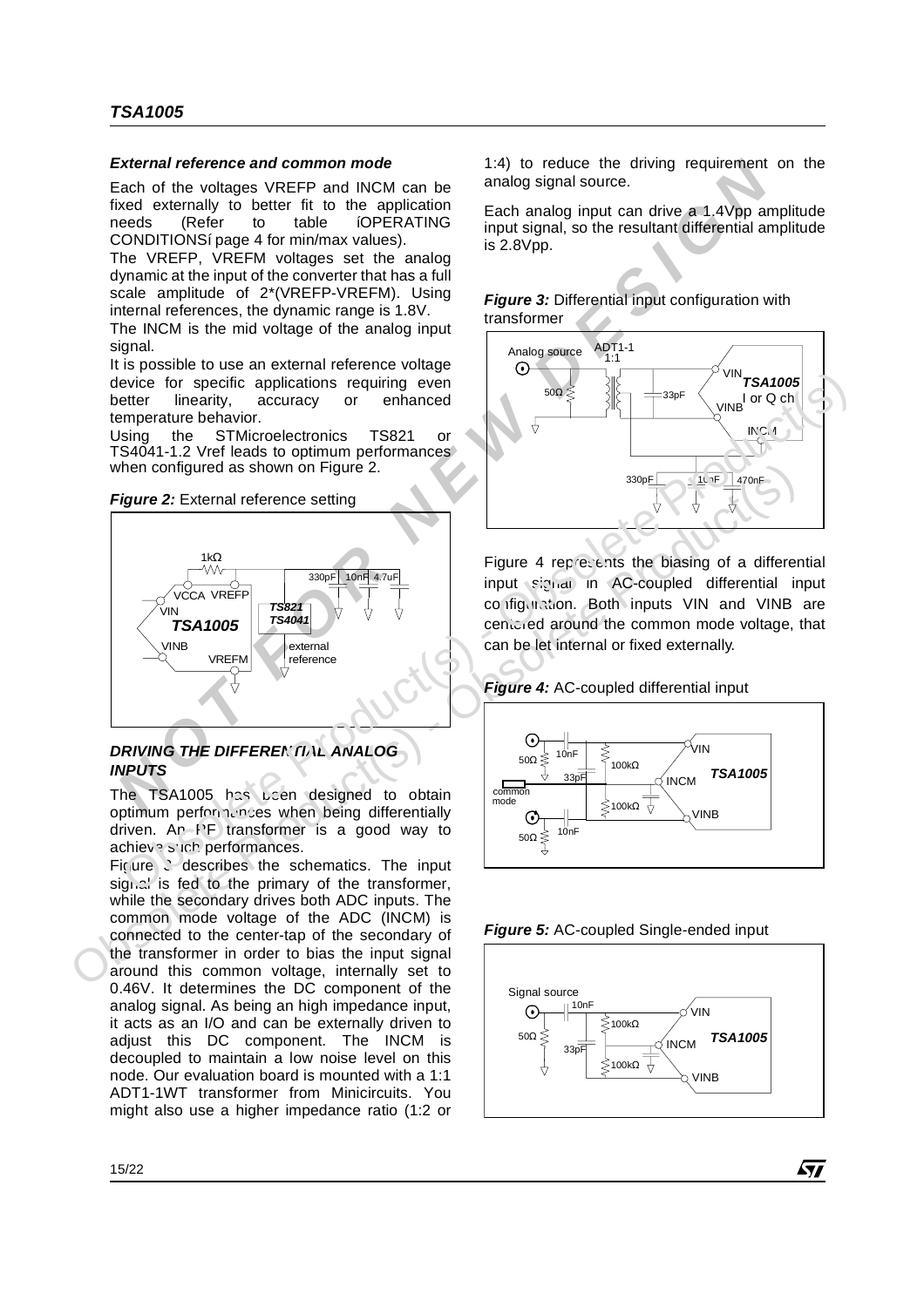#### *External reference and common mode*

Each of the voltages VREFP and INCM can be fixed externally to better fit to the application needs (Refer to table íOPERATING CONDITIONSí page 4 for min/max values).

The VREFP, VREFM voltages set the analog dynamic at the input of the converter that has a full scale amplitude of 2\*(VREFP-VREFM). Using internal references, the dynamic range is 1.8V.

The INCM is the mid voltage of the analog input signal.

It is possible to use an external reference voltage device for specific applications requiring even better linearity, accuracy or enhanced temperature behavior.

Using the STMicroelectronics TS821 or TS4041-1.2 Vref leads to optimum performances when configured as shown on Figure 2.

#### **Figure 2:** External reference setting



#### *DRIVING THE DIFFERENTIAL ANALOG INPUTS*

The TSA1005 has been designed to obtain optimum performations when being differentially driven. An  $P^F$  transformer is a good way to achieve such performances.

Figure 3 describes the schematics. The input signal is fed to the primary of the transformer, while the secondary drives both ADC inputs. The common mode voltage of the ADC (INCM) is connected to the center-tap of the secondary of the transformer in order to bias the input signal around this common voltage, internally set to 0.46V. It determines the DC component of the analog signal. As being an high impedance input, it acts as an I/O and can be externally driven to adjust this DC component. The INCM is decoupled to maintain a low noise level on this node. Our evaluation board is mounted with a 1:1 ADT1-1WT transformer from Minicircuits. You might also use a higher impedance ratio (1:2 or

1:4) to reduce the driving requirement on the analog signal source.

Each analog input can drive a 1.4Vpp amplitude input signal, so the resultant differential amplitude is 2.8Vpp.

*Figure 3:* Differential input configuration with transformer



Figure 4 represents the biasing of a differential input signal in AC-coupled differential input configuration. Both inputs VIN and VINB are centered around the common mode voltage, that can be let internal or fixed externally.







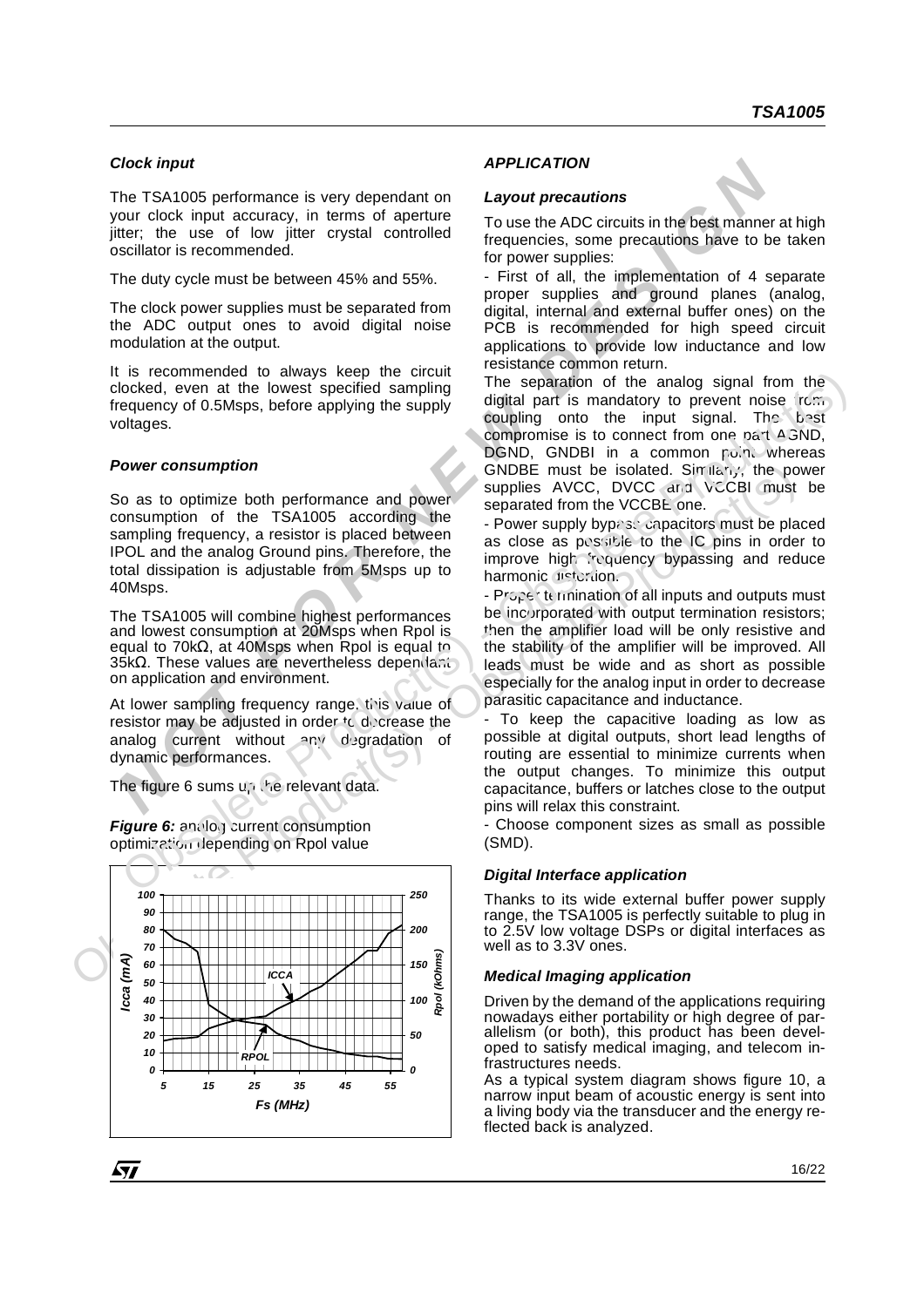#### *Clock input*

The TSA1005 performance is very dependant on your clock input accuracy, in terms of aperture jitter; the use of low jitter crystal controlled oscillator is recommended.

The duty cycle must be between 45% and 55%.

The clock power supplies must be separated from the ADC output ones to avoid digital noise modulation at the output.

It is recommended to always keep the circuit clocked, even at the lowest specified sampling frequency of 0.5Msps, before applying the supply voltages.

#### *Power consumption*

So as to optimize both performance and power consumption of the TSA1005 according the sampling frequency, a resistor is placed between IPOL and the analog Ground pins. Therefore, the total dissipation is adjustable from 5Msps up to 40Msps.

The TSA1005 will combine highest performances and lowest consumption at 20Msps when Rpol is equal to 70kΩ, at 40Msps when Rpol is equal to 35kΩ. These values are nevertheless dependant on application and environment.

At lower sampling frequency range, this value of resistor may be adjusted in order  $\mathfrak{t}_C$  decrease the analog current without any degradation of dynamic performances.

The figure 6 sums up the relevant data.

**Power consumption**<br>
So as to optimize both performance and power supplies AVCC, DVCC ard VCCBI must<br>
scopies and consumption of the TSA1005 according the sparated from the VCCBC and VCCBI must<br>
consumption of the TSA1005 *250 100 90 80 200 70 Rpol (kOhms) Icca (mA) 60 150 ICCA 50 100*  $\overline{8}$ *40 30 20 50 10 RPOL 0 0 5 15 25 35 45 55 Fs (MHz)*

57

**Figure 6:** analog current consumption optimization depending on Rpol value

#### *APPLICATION*

#### *Layout precautions*

To use the ADC circuits in the best manner at high frequencies, some precautions have to be taken for power supplies:

- First of all, the implementation of 4 separate proper supplies and ground planes (analog, digital, internal and external buffer ones) on the PCB is recommended for high speed circuit applications to provide low inductance and low resistance common return.

**NORTIFY** TEXT CONTOR THE TEXT CONDUPATE THE TEXT CONDUP THE TEXT CONDUP CONDUP CONDUP THE CONDUP THE CONDUPPERATE THE USE OF DWORF INTERFERENT THE USE OF DWORF THE USE OF DWORF THE USE OF DWORF THE USE ON THE CONDUPPERATE The separation of the analog signal from the digital part is mandatory to prevent noise from coupling onto the input signal. The best compromise is to connect from one part AGND, DGND, GNDBI in a common point whereas GNDBE must be isolated. Similarly, the power supplies AVCC, DVCC and VCCBI must be separated from the VCCBE one. The TSA1005 will combine higher the capacity of the analog signal form the theoretic strengthen of the separation of the mandator of properties are property of 0.50kgs, before applying the supplies and the input signal The

- Power supply bypase capacitors must be placed as close as possible to the IC pins in order to improve high frequency bypassing and reduce harmonic distortion.

- Proper termination of all inputs and outputs must be incorporated with output termination resistors; then the amplifier load will be only resistive and the stability of the amplifier will be improved. All leads must be wide and as short as possible especially for the analog input in order to decrease parasitic capacitance and inductance.

To keep the capacitive loading as low as possible at digital outputs, short lead lengths of routing are essential to minimize currents when the output changes. To minimize this output capacitance, buffers or latches close to the output pins will relax this constraint.

- Choose component sizes as small as possible (SMD).

#### *Digital Interface application*

Thanks to its wide external buffer power supply range, the TSA1005 is perfectly suitable to plug in to 2.5V low voltage DSPs or digital interfaces as well as to 3.3V ones.

#### *Medical Imaging application*

Driven by the demand of the applications requiring nowadays either portability or high degree of parallelism (or both), this product has been developed to satisfy medical imaging, and telecom infrastructures needs.

As a typical system diagram shows figure 10, a narrow input beam of acoustic energy is sent into a living body via the transducer and the energy reflected back is analyzed.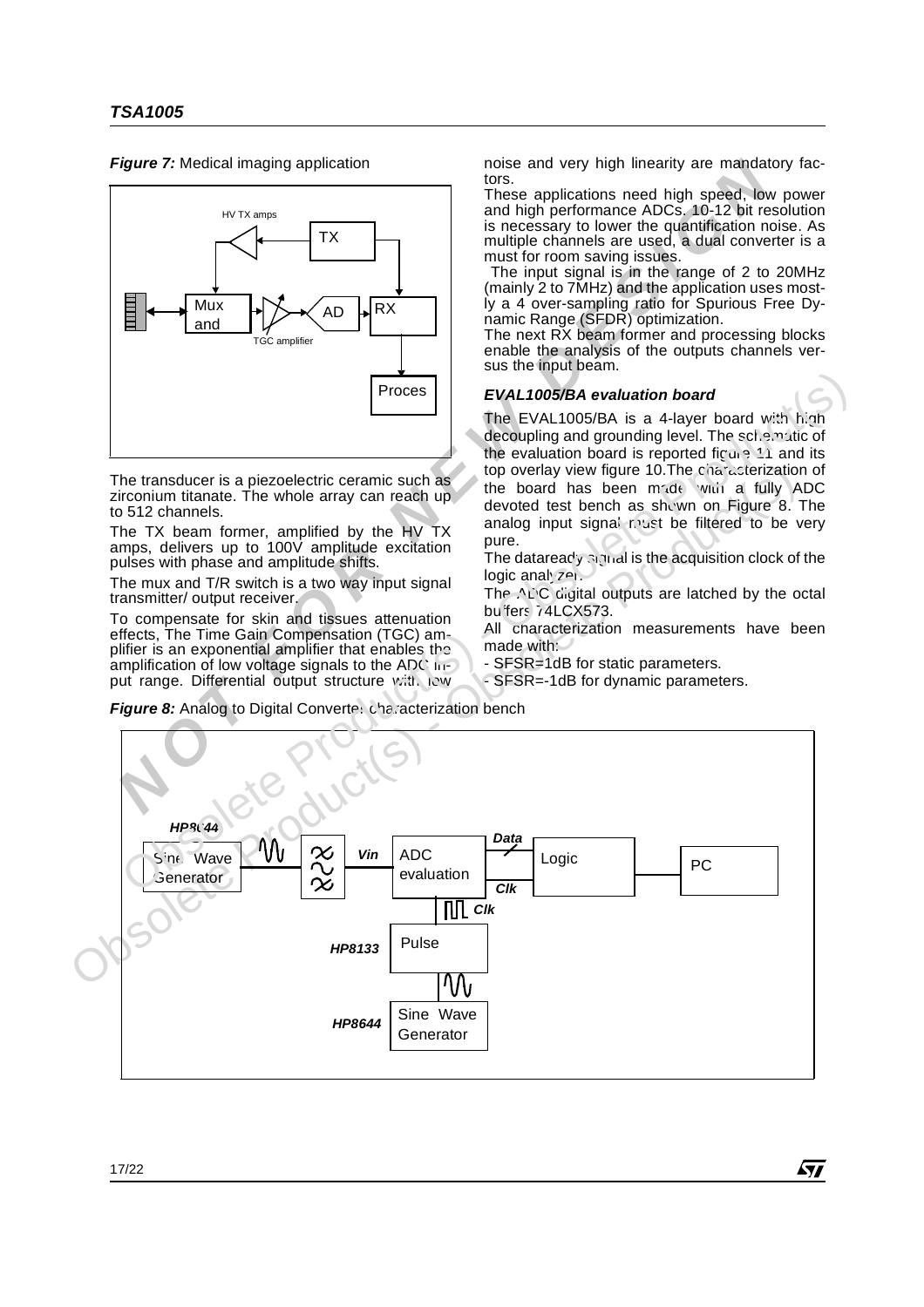*Figure 7:* Medical imaging application



The transducer is a piezoelectric ceramic such as zirconium titanate. The whole array can reach up to 512 channels.

The TX beam former, amplified by the HV TX amps, delivers up to 100V amplitude excitation pulses with phase and amplitude shifts.

The mux and T/R switch is a two way input signal transmitter/ output receiver.

To compensate for skin and tissues attenuation effects, The Time Gain Compensation (TGC) amplifier is an exponential amplifier that enables the amplification of low voltage signals to the ADC input range. Differential output structure with low

noise and very high linearity are mandatory factors.

These applications need high speed, low power and high performance ADCs. 10-12 bit resolution is necessary to lower the quantification noise. As multiple channels are used, a dual converter is a must for room saving issues.

 The input signal is in the range of 2 to 20MHz (mainly 2 to 7MHz) and the application uses mostly a 4 over-sampling ratio for Spurious Free Dynamic Range (SFDR) optimization.

The next RX beam former and processing blocks enable the analysis of the outputs channels versus the input beam.

#### *EVAL1005/BA evaluation board*

The EVAL1005/BA is a 4-layer board with high decoupling and grounding level. The schematic of the evaluation board is reported figure 11 and its top overlay view figure 10. The characterization of the board has been  $m_1$ de with a fully ADC devoted test bench as shown on Figure 8. The analog input signal nust be filtered to be very pure.

The dataready signal is the acquisition clock of the  $logic$  analyzer.

The  $\wedge$  C digital outputs are latched by the octal buffers 74LCX573.

All characterization measurements have been made with:

- SFSR=1dB for static parameters.

- SFSR=-1dB for dynamic parameters.

**Figure 8:** Analog to Digital Converter characterization bench

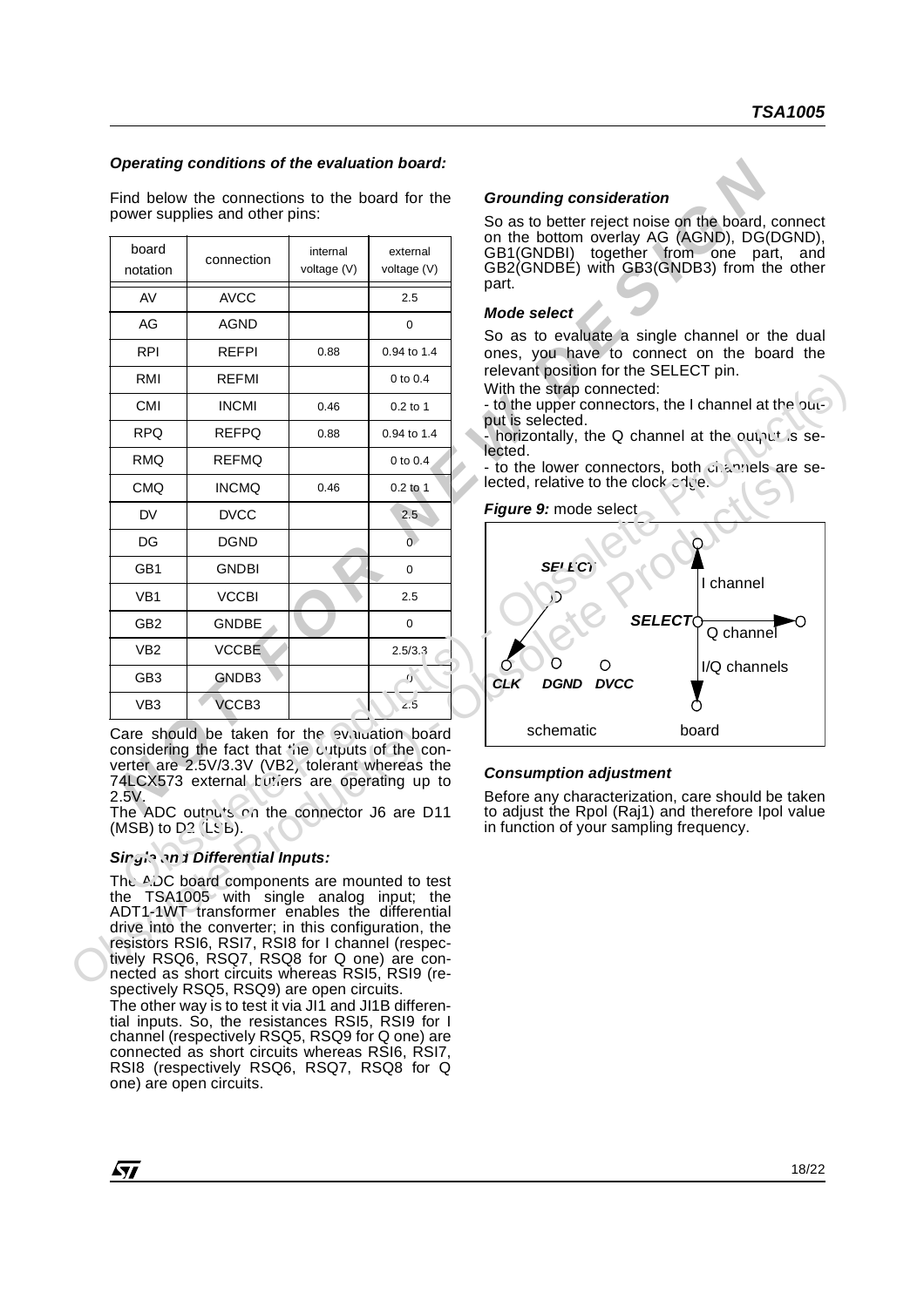#### *Operating conditions of the evaluation board:*

|                                  | power supplies and other pins:                                                                                                                                                                                                                                                                         |                         |                         | <b>Grounding consideration</b><br>So as to better reject noise on the board, connect                                                                                                |  |  |  |  |  |  |
|----------------------------------|--------------------------------------------------------------------------------------------------------------------------------------------------------------------------------------------------------------------------------------------------------------------------------------------------------|-------------------------|-------------------------|-------------------------------------------------------------------------------------------------------------------------------------------------------------------------------------|--|--|--|--|--|--|
| board<br>notation                | connection                                                                                                                                                                                                                                                                                             | internal<br>voltage (V) | external<br>voltage (V) | on the bottom overlay AG (AGND), DG(DGND),<br>GB1(GNDBI) together from one part, and<br>GB2(GNDBÉ) with GB3(GNDB3) from the other                                                   |  |  |  |  |  |  |
| AV                               | <b>AVCC</b>                                                                                                                                                                                                                                                                                            |                         | 2.5                     | part.                                                                                                                                                                               |  |  |  |  |  |  |
| AG                               | <b>AGND</b>                                                                                                                                                                                                                                                                                            |                         | 0                       | Mode select                                                                                                                                                                         |  |  |  |  |  |  |
| <b>RPI</b>                       | <b>REFPI</b>                                                                                                                                                                                                                                                                                           | 0.88                    | 0.94 to 1.4             | So as to evaluate a single channel or the dual<br>ones, you have to connect on the board the                                                                                        |  |  |  |  |  |  |
| RMI                              | <b>REFMI</b>                                                                                                                                                                                                                                                                                           |                         | 0 to 0.4                | relevant position for the SELECT pin.<br>With the strap connected:                                                                                                                  |  |  |  |  |  |  |
| CMI                              | <b>INCMI</b>                                                                                                                                                                                                                                                                                           | 0.46                    | $0.2$ to 1              | - to the upper connectors, the I channel at the put-                                                                                                                                |  |  |  |  |  |  |
| RPQ                              | <b>REFPQ</b>                                                                                                                                                                                                                                                                                           | 0.88                    | 0.94 to 1.4             | put is selected.<br>horizontally, the Q channel at the output is se-                                                                                                                |  |  |  |  |  |  |
| <b>RMQ</b>                       | <b>REFMQ</b>                                                                                                                                                                                                                                                                                           |                         | 0 to $0.4$              | lected.<br>- to the lower connectors, both changels are se-                                                                                                                         |  |  |  |  |  |  |
| <b>CMQ</b>                       | <b>INCMQ</b>                                                                                                                                                                                                                                                                                           | 0.46                    | $0.2$ to 1              | lected, relative to the clock $\circ$ i.e.                                                                                                                                          |  |  |  |  |  |  |
| DV                               | <b>DVCC</b>                                                                                                                                                                                                                                                                                            |                         | 2.5                     | Figure 9: mode select                                                                                                                                                               |  |  |  |  |  |  |
| DG                               | <b>DGND</b>                                                                                                                                                                                                                                                                                            |                         | $\overline{0}$          |                                                                                                                                                                                     |  |  |  |  |  |  |
| GB1                              | <b>GNDBI</b>                                                                                                                                                                                                                                                                                           |                         | $\mathbf 0$             | SELECT                                                                                                                                                                              |  |  |  |  |  |  |
| VB <sub>1</sub>                  | <b>VCCBI</b>                                                                                                                                                                                                                                                                                           |                         | 2.5                     | channel                                                                                                                                                                             |  |  |  |  |  |  |
| GB <sub>2</sub>                  | <b>GNDBE</b>                                                                                                                                                                                                                                                                                           |                         | $\mathbf 0$             | <b>SELECT</b> C<br>Q channel                                                                                                                                                        |  |  |  |  |  |  |
| VB <sub>2</sub>                  | <b>VCCBE</b>                                                                                                                                                                                                                                                                                           |                         | 2.5/3.3                 |                                                                                                                                                                                     |  |  |  |  |  |  |
| GB <sub>3</sub>                  | GNDB3                                                                                                                                                                                                                                                                                                  |                         | ς,                      | O<br>I/Q channels<br><b>CLK</b><br><b>DGND</b><br><b>DVCC</b>                                                                                                                       |  |  |  |  |  |  |
| VB <sub>3</sub>                  | VCCB3                                                                                                                                                                                                                                                                                                  |                         | 2.5                     |                                                                                                                                                                                     |  |  |  |  |  |  |
|                                  | Care should be taken for the evaluation board                                                                                                                                                                                                                                                          |                         |                         | schematic<br>board                                                                                                                                                                  |  |  |  |  |  |  |
| 2.5V.<br>$(MSB)$ to $D^2$ (LSE). | considering the fact that (ne cutputs of the con-<br>verter are 2.5V/3.3V (VB2, tolerant whereas the<br>74LCX573 external butiers are operating up to<br>The ADC outputs on the connector J6 are D11                                                                                                   |                         |                         | <b>Consumption adjustment</b><br>Before any characterization, care should be taken<br>to adjust the Rpol (Raj1) and therefore Ipol value<br>in function of your sampling frequency. |  |  |  |  |  |  |
|                                  | Singin and Differential Inputs:                                                                                                                                                                                                                                                                        |                         |                         |                                                                                                                                                                                     |  |  |  |  |  |  |
|                                  | The ADC board components are mounted to test<br>the TSA1005 with single analog input; the<br>ADT1-1WT transformer enables the differential<br>drive into the converter; in this configuration, the<br>resistors RSI6, RSI7, RSI8 for I channel (respec-<br>tively RSQ6, RSQ7, RSQ8 for Q one) are con- |                         |                         |                                                                                                                                                                                     |  |  |  |  |  |  |

#### **Single and Differential Inputs:**

The  $A/DC$  board components are mounted to test the TSA1005 with single analog input; the ADT1-1WT transformer enables the differential drive into the converter; in this configuration, the resistors RSI6, RSI7, RSI8 for I channel (respectively RSQ6, RSQ7, RSQ8 for Q one) are connected as short circuits whereas RSI5, RSI9 (respectively RSQ5, RSQ9) are open circuits.

The other way is to test it via JI1 and JI1B differential inputs. So, the resistances RSI5, RSI9 for I channel (respectively RSQ5, RSQ9 for Q one) are connected as short circuits whereas RSI6, RSI7, RSI8 (respectively RSQ6, RSQ7, RSQ8 for Q one) are open circuits.

#### *Grounding consideration*

#### *Mode select*

#### *Figure 9:* mode select



#### *Consumption adjustment*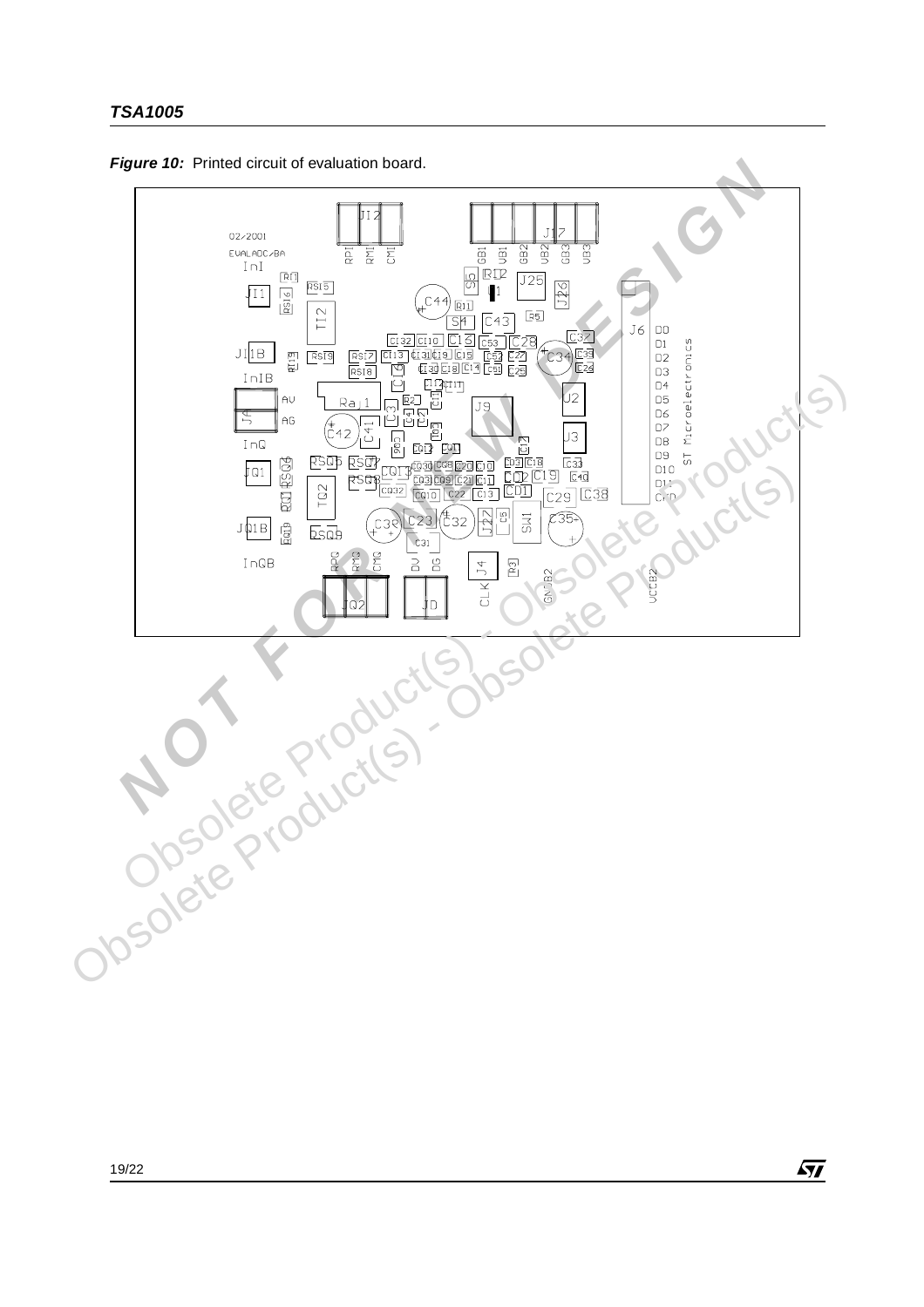

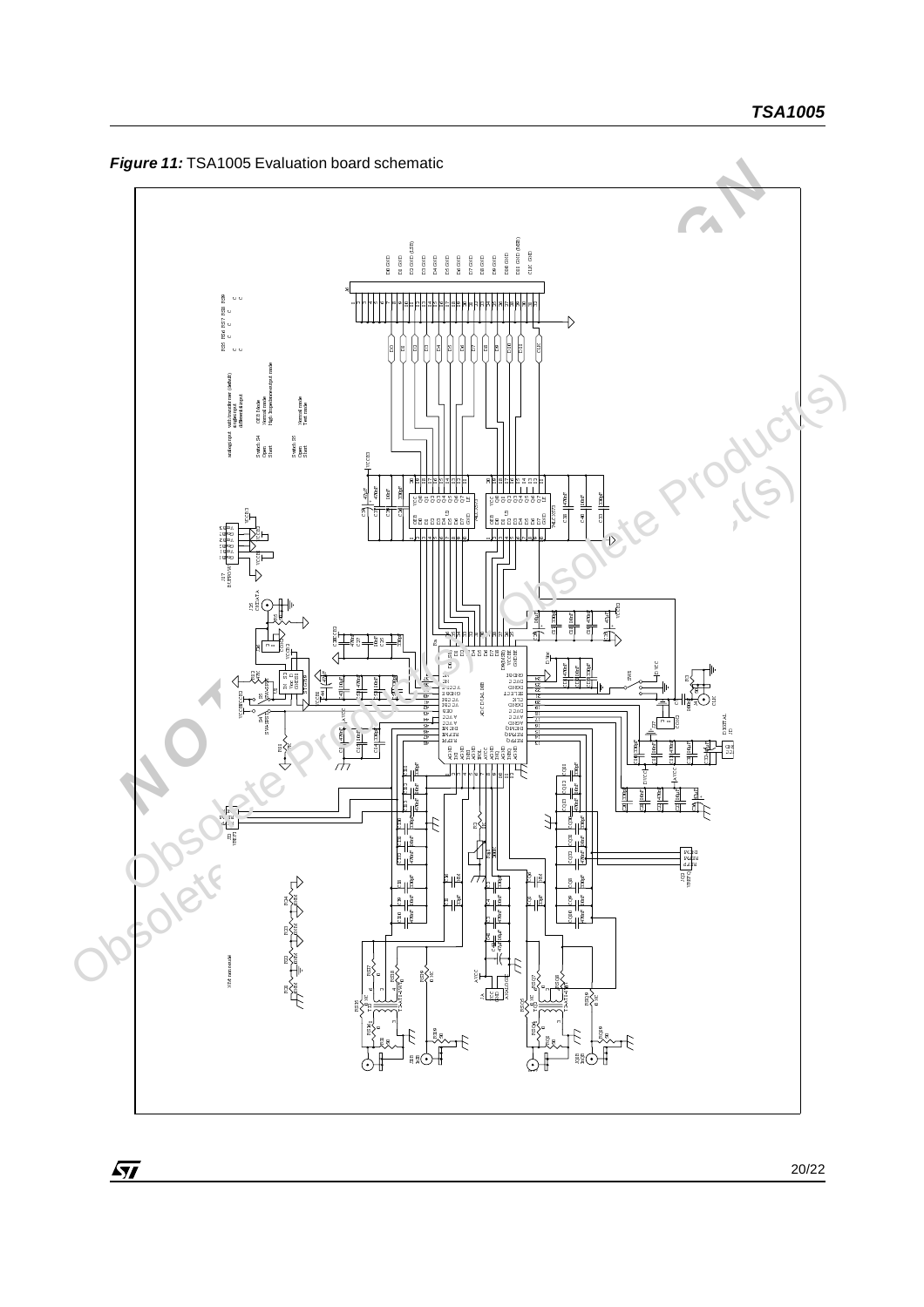*Figure 11:* TSA1005 Evaluation board schematic



 $\sqrt{27}$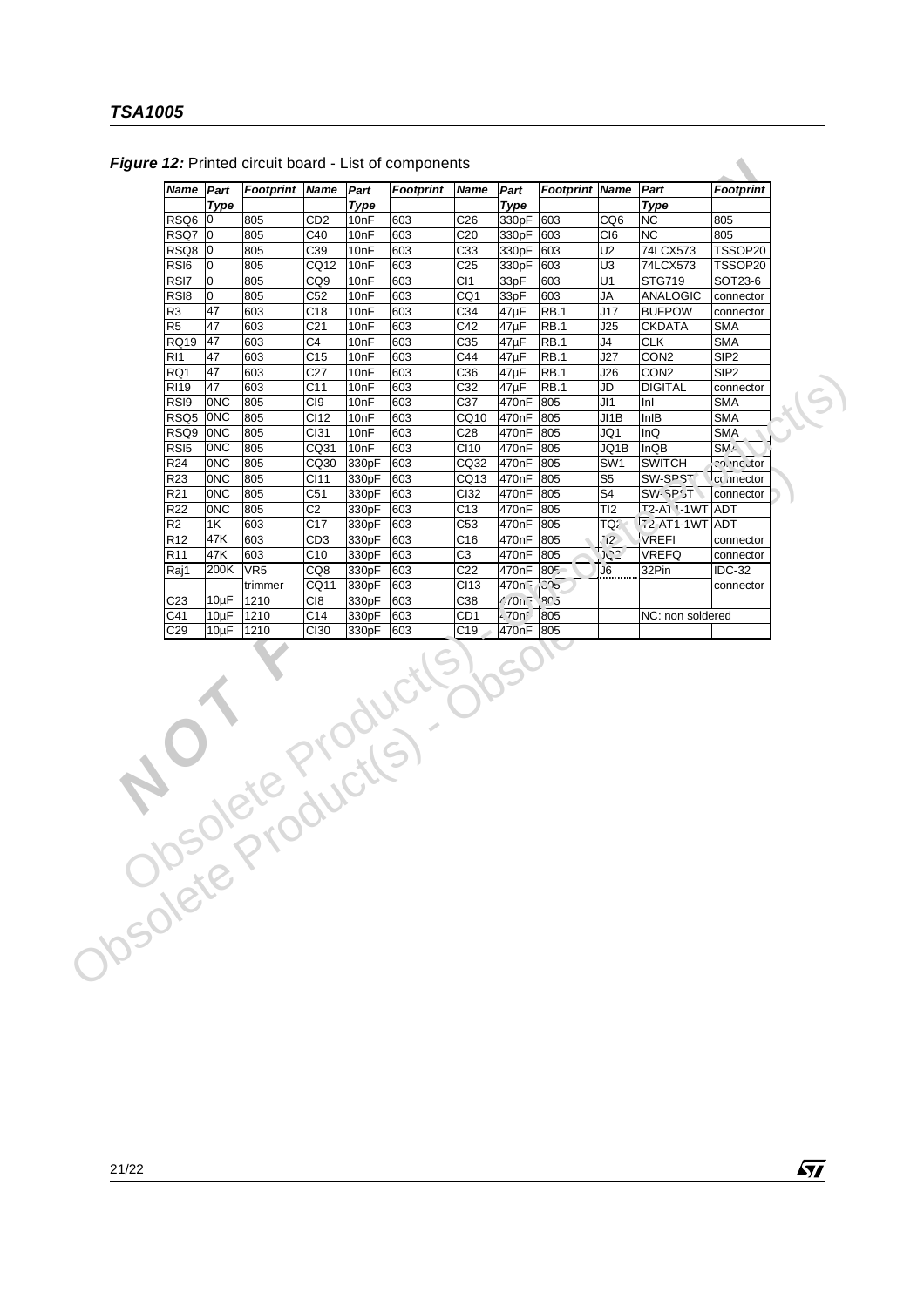| <b>Type</b><br>RSQ6 0<br>805<br>RSQ7<br>$ 0\rangle$<br>805<br>RSQ8 0<br>805<br>805<br>RS <sub>I6</sub><br>0 |                 |                  | Footprint | Name             | Part         | Footprint Name |                      | Part                    | <b>Footprint</b> |
|-------------------------------------------------------------------------------------------------------------|-----------------|------------------|-----------|------------------|--------------|----------------|----------------------|-------------------------|------------------|
|                                                                                                             |                 | <b>Type</b>      |           |                  | <b>Type</b>  |                |                      | <b>Type</b>             |                  |
|                                                                                                             | CD <sub>2</sub> | 10nF             | 603       | C <sub>26</sub>  | 330pF        | 603            | CQ6                  | <b>NC</b>               | 805              |
|                                                                                                             | C40             | 10nF             | 603       | C <sub>20</sub>  | 330pF        | 603            | C <sub>I6</sub>      | NC                      | 805              |
|                                                                                                             | C39             | 10 <sub>nF</sub> | 603       | C <sub>33</sub>  | 330pF        | 603            | U <sub>2</sub>       | 74LCX573                | TSSOP20          |
|                                                                                                             | CQ12            | 10 <sub>nF</sub> | 603       | C <sub>25</sub>  | 330pF        | 603            | U <sub>3</sub>       | 74LCX573                | TSSOP20          |
| RSI7<br>0<br>805                                                                                            | CQ <sub>9</sub> | 10 <sub>nF</sub> | 603       | C <sub>11</sub>  | 33pF         | 603            | U1                   | <b>STG719</b>           | SOT23-6          |
| RS <sub>I8</sub><br>10<br>805                                                                               | C52             | 10nF             | 603       | CQ1              | 33pF         | 603            | JA                   | <b>ANALOGIC</b>         | connector        |
| R <sub>3</sub><br>47<br>603                                                                                 | C <sub>18</sub> | 10nF             | 603       | C34              | $47\mu F$    | <b>RB.1</b>    | J17                  | <b>BUFPOW</b>           | connector        |
| R <sub>5</sub><br>47<br>603                                                                                 | C <sub>21</sub> | 10 <sub>nF</sub> | 603       | C42              | $47\mu F$    | <b>RB.1</b>    | J25                  | <b>CKDATA</b>           | <b>SMA</b>       |
| 47<br><b>RQ19</b><br>603                                                                                    | C4              | 10nF             | 603       | C35              | 47µF         | RB.1           | J4                   | <b>CLK</b>              | SMA              |
| 47<br>603<br>RI <sub>1</sub>                                                                                | C <sub>15</sub> | 10 <sub>nF</sub> | 603       | C44              | $47\mu F$    | <b>RB.1</b>    | J27                  | CON <sub>2</sub>        | SIP <sub>2</sub> |
| 47<br>RQ1<br>603                                                                                            | C <sub>27</sub> | 10 <sub>nF</sub> | 603       | C36              | 47µF         | <b>RB.1</b>    | J26                  | CON <sub>2</sub>        | SIP <sub>2</sub> |
| <b>RI19</b><br>47<br>603                                                                                    | C <sub>11</sub> | 10 <sub>nF</sub> | 603       | C32              | $47\mu F$    | <b>RB.1</b>    | JD                   | <b>DIGITAL</b>          | connector        |
| 0NC<br>RS <sub>I9</sub><br>805                                                                              | C <sub>I9</sub> | 10 <sub>nF</sub> | 603       | C37              | 470nF        | 805            | JI1                  | Inl                     | <b>SMA</b>       |
| RSQ5<br>ONC<br>805                                                                                          | CI12            | 10nF             | 603       | CQ10             | 470nF        | 805            | JI1B                 | InIB                    | <b>SMA</b>       |
| RSQ9<br> 0NC<br>805                                                                                         | CI31            | 10nF             | 603       | C28              | 470nF        | 805            | JQ1                  | InQ                     | <b>SMA</b>       |
| 0NC<br>RS <sub>I5</sub><br>805                                                                              | CQ31            | 10 <sub>nF</sub> | 603       | CI10             | 470nF        | 805            | JQ1B                 | InQB                    | SM <sup>A</sup>  |
| 0NC<br>R <sub>24</sub><br>805                                                                               | CQ30            | 330pF            | 603       | CQ32             | 470nF        | 805            | SW <sub>1</sub>      | <b>SWITCH</b>           | chimeutor        |
| 0NC<br>R <sub>23</sub><br>805                                                                               | CI11            | 330pF            | 603       | CQ <sub>13</sub> | 470nF        | 805            | S <sub>5</sub>       | SW-SPST                 | cc.nector        |
| 0NC<br>R <sub>21</sub><br>805                                                                               | C51             | 330pF            | 603       | CI32             | 470nF        | 805            | S4                   | SW-SP'JT                | connector        |
| R22<br>0NC<br>805                                                                                           | C <sub>2</sub>  | 330pF            | 603       | C13              | 470nF        | 805            | TI <sub>2</sub>      | T2-A1 '-1WT ADT         |                  |
| 1K<br>603<br>R2                                                                                             | C <sub>17</sub> | 330pF            | 603       | C53              | 470nF        | 805            | TQ2                  | $\sqrt{72}$ AT1-1WT ADT |                  |
| R <sub>12</sub><br>47K<br>603                                                                               | CD <sub>3</sub> | 330pF            | 603       | C16              | 470nF        | 805            | $\sqrt{2}$           | VREFI                   | connector        |
| 47K<br>R <sub>11</sub><br>603                                                                               | C <sub>10</sub> | 330pF            | 603       | C <sub>3</sub>   | 470nF        | 805            | <b>N<sub>3</sub></b> | <b>VREFQ</b>            | connector        |
| 200K<br>VR <sub>5</sub><br>Raj1                                                                             | CQ8             | 330pF            | 603       | C22              | 470nF        | 805            | J <sub>6</sub>       | 32Pin                   | <b>IDC-32</b>    |
| trimmer                                                                                                     | CQ11            | 330pF            | 603       | CI13             | 470n.        | ုံးက           |                      |                         | connector        |
| $10\mu F$<br>1210<br>C <sub>23</sub>                                                                        | C <sub>18</sub> | 330pF            | 603       | C38              | 70n          | 805            |                      |                         |                  |
| C41<br>$10\mu F$<br>1210                                                                                    | C14             | 330pF            | 603       | CD <sub>1</sub>  | $\sqrt{70n}$ | 805            |                      | NC: non soldered        |                  |
| C <sub>29</sub><br>$10\mu F$<br>1210                                                                        | CI30            | 330pF            | 603       | C19              | 470nF        | 805            |                      |                         |                  |
| Josephourductly                                                                                             |                 |                  |           |                  |              |                |                      |                         |                  |

Figure 12: Printed circuit board - List of components